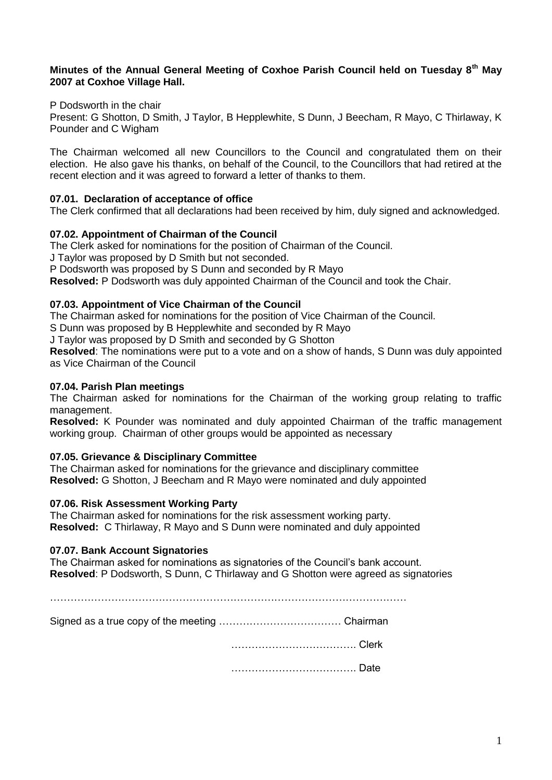#### **Minutes of the Annual General Meeting of Coxhoe Parish Council held on Tuesday 8th May 2007 at Coxhoe Village Hall.**

P Dodsworth in the chair

Present: G Shotton, D Smith, J Taylor, B Hepplewhite, S Dunn, J Beecham, R Mayo, C Thirlaway, K Pounder and C Wigham

The Chairman welcomed all new Councillors to the Council and congratulated them on their election. He also gave his thanks, on behalf of the Council, to the Councillors that had retired at the recent election and it was agreed to forward a letter of thanks to them.

#### **07.01. Declaration of acceptance of office**

The Clerk confirmed that all declarations had been received by him, duly signed and acknowledged.

#### **07.02. Appointment of Chairman of the Council**

The Clerk asked for nominations for the position of Chairman of the Council.

J Taylor was proposed by D Smith but not seconded.

P Dodsworth was proposed by S Dunn and seconded by R Mayo

**Resolved:** P Dodsworth was duly appointed Chairman of the Council and took the Chair.

#### **07.03. Appointment of Vice Chairman of the Council**

The Chairman asked for nominations for the position of Vice Chairman of the Council.

S Dunn was proposed by B Hepplewhite and seconded by R Mayo

J Taylor was proposed by D Smith and seconded by G Shotton

**Resolved**: The nominations were put to a vote and on a show of hands, S Dunn was duly appointed as Vice Chairman of the Council

#### **07.04. Parish Plan meetings**

The Chairman asked for nominations for the Chairman of the working group relating to traffic management.

**Resolved:** K Pounder was nominated and duly appointed Chairman of the traffic management working group. Chairman of other groups would be appointed as necessary

#### **07.05. Grievance & Disciplinary Committee**

The Chairman asked for nominations for the grievance and disciplinary committee **Resolved:** G Shotton, J Beecham and R Mayo were nominated and duly appointed

#### **07.06. Risk Assessment Working Party**

The Chairman asked for nominations for the risk assessment working party. **Resolved:** C Thirlaway, R Mayo and S Dunn were nominated and duly appointed

#### **07.07. Bank Account Signatories**

The Chairman asked for nominations as signatories of the Council's bank account. **Resolved**: P Dodsworth, S Dunn, C Thirlaway and G Shotton were agreed as signatories

 $\mathcal{L}^{\text{max}}$ 

|--|--|

………………………………. Clerk

………………………………. Date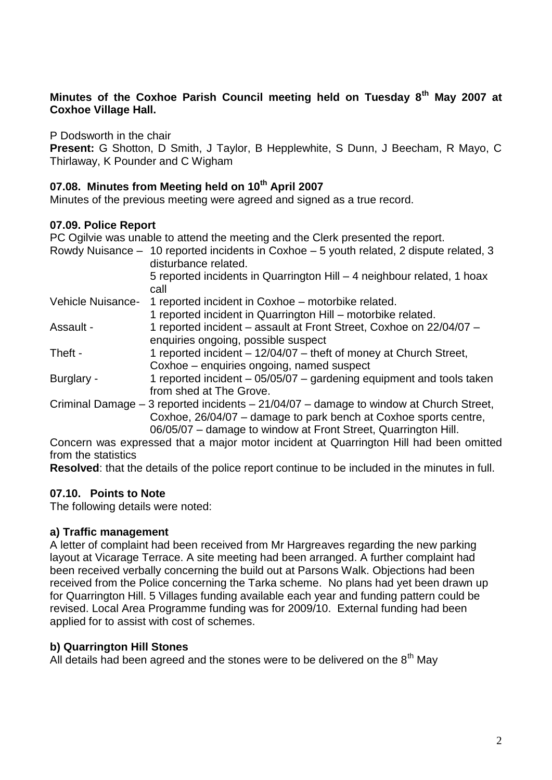### **Minutes of the Coxhoe Parish Council meeting held on Tuesday 8th May 2007 at Coxhoe Village Hall.**

P Dodsworth in the chair

**Present:** G Shotton, D Smith, J Taylor, B Hepplewhite, S Dunn, J Beecham, R Mayo, C Thirlaway, K Pounder and C Wigham

### **07.08. Minutes from Meeting held on 10th April 2007**

Minutes of the previous meeting were agreed and signed as a true record.

### **07.09. Police Report**

PC Ogilvie was unable to attend the meeting and the Clerk presented the report.

|                   | Rowdy Nuisance - 10 reported incidents in Coxhoe - 5 youth related, 2 dispute related, 3<br>disturbance related.                                                                                                               |
|-------------------|--------------------------------------------------------------------------------------------------------------------------------------------------------------------------------------------------------------------------------|
|                   | 5 reported incidents in Quarrington Hill – 4 neighbour related, 1 hoax<br>call                                                                                                                                                 |
| Vehicle Nuisance- | 1 reported incident in Coxhoe – motorbike related.                                                                                                                                                                             |
|                   | 1 reported incident in Quarrington Hill – motorbike related.                                                                                                                                                                   |
| Assault -         | 1 reported incident - assault at Front Street, Coxhoe on 22/04/07 -<br>enquiries ongoing, possible suspect                                                                                                                     |
| Theft -           | 1 reported incident – 12/04/07 – theft of money at Church Street,<br>Coxhoe – enquiries ongoing, named suspect                                                                                                                 |
| Burglary -        | 1 reported incident – 05/05/07 – gardening equipment and tools taken<br>from shed at The Grove.                                                                                                                                |
|                   | Criminal Damage $-3$ reported incidents $-21/04/07$ – damage to window at Church Street,<br>Coxhoe, 26/04/07 – damage to park bench at Coxhoe sports centre,<br>06/05/07 - damage to window at Front Street, Quarrington Hill. |
|                   | Concern was sympassed that a major mater insident at Quartination I lill had heap amitted                                                                                                                                      |

Concern was expressed that a major motor incident at Quarrington Hill had been omitted from the statistics

**Resolved**: that the details of the police report continue to be included in the minutes in full.

# **07.10. Points to Note**

The following details were noted:

# **a) Traffic management**

A letter of complaint had been received from Mr Hargreaves regarding the new parking layout at Vicarage Terrace. A site meeting had been arranged. A further complaint had been received verbally concerning the build out at Parsons Walk. Objections had been received from the Police concerning the Tarka scheme. No plans had yet been drawn up for Quarrington Hill. 5 Villages funding available each year and funding pattern could be revised. Local Area Programme funding was for 2009/10. External funding had been applied for to assist with cost of schemes.

# **b) Quarrington Hill Stones**

All details had been agreed and the stones were to be delivered on the  $8<sup>th</sup>$  May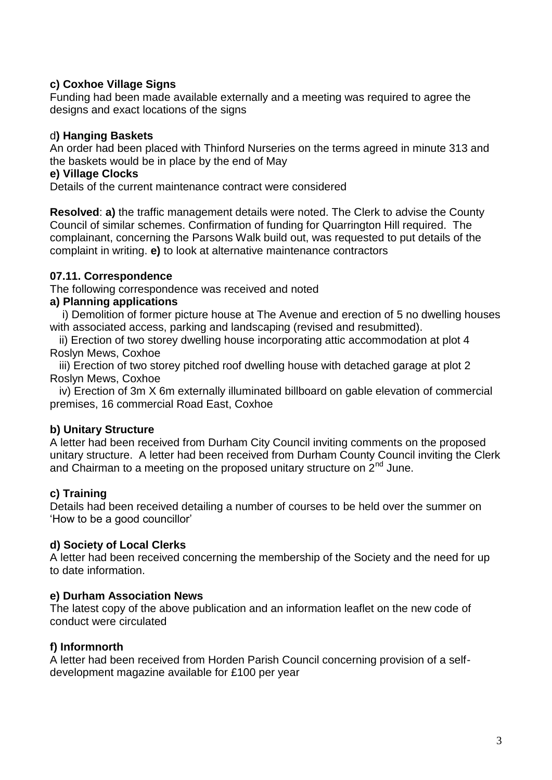# **c) Coxhoe Village Signs**

Funding had been made available externally and a meeting was required to agree the designs and exact locations of the signs

### d**) Hanging Baskets**

An order had been placed with Thinford Nurseries on the terms agreed in minute 313 and the baskets would be in place by the end of May

### **e) Village Clocks**

Details of the current maintenance contract were considered

**Resolved**: **a)** the traffic management details were noted. The Clerk to advise the County Council of similar schemes. Confirmation of funding for Quarrington Hill required. The complainant, concerning the Parsons Walk build out, was requested to put details of the complaint in writing. **e)** to look at alternative maintenance contractors

# **07.11. Correspondence**

The following correspondence was received and noted

### **a) Planning applications**

 i) Demolition of former picture house at The Avenue and erection of 5 no dwelling houses with associated access, parking and landscaping (revised and resubmitted).

 ii) Erection of two storey dwelling house incorporating attic accommodation at plot 4 Roslyn Mews, Coxhoe

 iii) Erection of two storey pitched roof dwelling house with detached garage at plot 2 Roslyn Mews, Coxhoe

 iv) Erection of 3m X 6m externally illuminated billboard on gable elevation of commercial premises, 16 commercial Road East, Coxhoe

# **b) Unitary Structure**

A letter had been received from Durham City Council inviting comments on the proposed unitary structure. A letter had been received from Durham County Council inviting the Clerk and Chairman to a meeting on the proposed unitary structure on  $2<sup>nd</sup>$  June.

# **c) Training**

Details had been received detailing a number of courses to be held over the summer on 'How to be a good councillor'

# **d) Society of Local Clerks**

A letter had been received concerning the membership of the Society and the need for up to date information.

#### **e) Durham Association News**

The latest copy of the above publication and an information leaflet on the new code of conduct were circulated

# **f) Informnorth**

A letter had been received from Horden Parish Council concerning provision of a selfdevelopment magazine available for £100 per year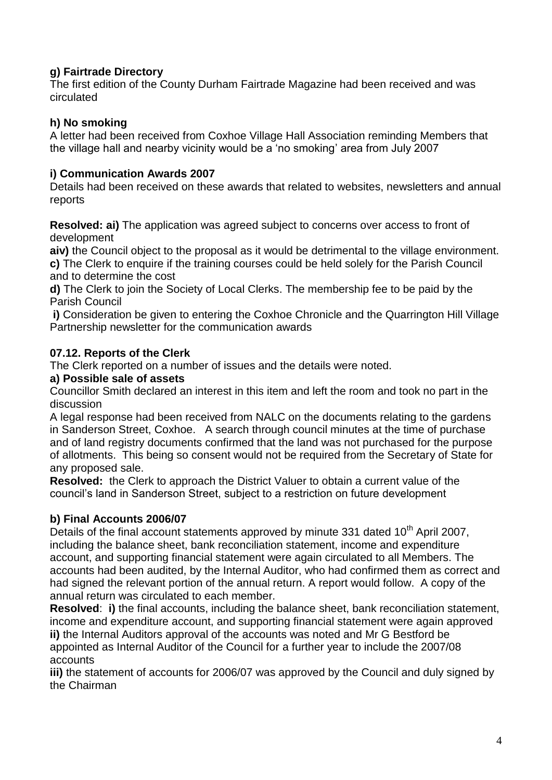# **g) Fairtrade Directory**

The first edition of the County Durham Fairtrade Magazine had been received and was circulated

# **h) No smoking**

A letter had been received from Coxhoe Village Hall Association reminding Members that the village hall and nearby vicinity would be a 'no smoking' area from July 2007

# **i) Communication Awards 2007**

Details had been received on these awards that related to websites, newsletters and annual reports

**Resolved: ai)** The application was agreed subject to concerns over access to front of development

**aiv)** the Council object to the proposal as it would be detrimental to the village environment.

**c)** The Clerk to enquire if the training courses could be held solely for the Parish Council and to determine the cost

**d)** The Clerk to join the Society of Local Clerks. The membership fee to be paid by the Parish Council

**i)** Consideration be given to entering the Coxhoe Chronicle and the Quarrington Hill Village Partnership newsletter for the communication awards

# **07.12. Reports of the Clerk**

The Clerk reported on a number of issues and the details were noted.

# **a) Possible sale of assets**

Councillor Smith declared an interest in this item and left the room and took no part in the discussion

A legal response had been received from NALC on the documents relating to the gardens in Sanderson Street, Coxhoe. A search through council minutes at the time of purchase and of land registry documents confirmed that the land was not purchased for the purpose of allotments. This being so consent would not be required from the Secretary of State for any proposed sale.

**Resolved:** the Clerk to approach the District Valuer to obtain a current value of the council's land in Sanderson Street, subject to a restriction on future development

# **b) Final Accounts 2006/07**

Details of the final account statements approved by minute 331 dated  $10<sup>th</sup>$  April 2007, including the balance sheet, bank reconciliation statement, income and expenditure account, and supporting financial statement were again circulated to all Members. The accounts had been audited, by the Internal Auditor, who had confirmed them as correct and had signed the relevant portion of the annual return. A report would follow. A copy of the annual return was circulated to each member.

**Resolved**: **i)** the final accounts, including the balance sheet, bank reconciliation statement, income and expenditure account, and supporting financial statement were again approved **ii)** the Internal Auditors approval of the accounts was noted and Mr G Bestford be appointed as Internal Auditor of the Council for a further year to include the 2007/08 accounts

**iii)** the statement of accounts for 2006/07 was approved by the Council and duly signed by the Chairman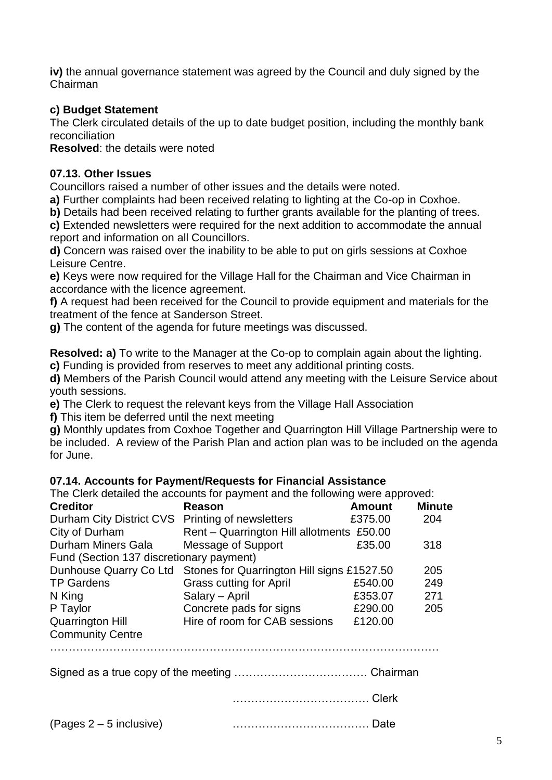**iv)** the annual governance statement was agreed by the Council and duly signed by the Chairman

# **c) Budget Statement**

The Clerk circulated details of the up to date budget position, including the monthly bank reconciliation

**Resolved**: the details were noted

# **07.13. Other Issues**

Councillors raised a number of other issues and the details were noted.

**a)** Further complaints had been received relating to lighting at the Co-op in Coxhoe.

**b)** Details had been received relating to further grants available for the planting of trees.

**c)** Extended newsletters were required for the next addition to accommodate the annual report and information on all Councillors.

**d)** Concern was raised over the inability to be able to put on girls sessions at Coxhoe Leisure Centre.

**e)** Keys were now required for the Village Hall for the Chairman and Vice Chairman in accordance with the licence agreement.

**f)** A request had been received for the Council to provide equipment and materials for the treatment of the fence at Sanderson Street.

**g)** The content of the agenda for future meetings was discussed.

**Resolved: a)** To write to the Manager at the Co-op to complain again about the lighting.

**c)** Funding is provided from reserves to meet any additional printing costs.

**d)** Members of the Parish Council would attend any meeting with the Leisure Service about youth sessions.

**e)** The Clerk to request the relevant keys from the Village Hall Association

**f)** This item be deferred until the next meeting

**g)** Monthly updates from Coxhoe Together and Quarrington Hill Village Partnership were to be included. A review of the Parish Plan and action plan was to be included on the agenda for June.

# **07.14. Accounts for Payment/Requests for Financial Assistance**

The Clerk detailed the accounts for payment and the following were approved:

| <b>Creditor</b>                                  | Reason                                                            | <b>Amount</b> | <b>Minute</b> |
|--------------------------------------------------|-------------------------------------------------------------------|---------------|---------------|
| Durham City District CVS Printing of newsletters |                                                                   | £375.00       | 204           |
| City of Durham                                   | Rent - Quarrington Hill allotments £50.00                         |               |               |
| <b>Durham Miners Gala</b>                        | Message of Support                                                | £35.00        | 318           |
| Fund (Section 137 discretionary payment)         |                                                                   |               |               |
|                                                  | Dunhouse Quarry Co Ltd Stones for Quarrington Hill signs £1527.50 |               | 205           |
| <b>TP Gardens</b>                                | <b>Grass cutting for April</b>                                    | £540.00       | 249           |
| N King                                           | Salary - April                                                    | £353.07       | 271           |
| P Taylor                                         | Concrete pads for signs                                           | £290.00       | 205           |
| <b>Quarrington Hill</b>                          | Hire of room for CAB sessions                                     | £120.00       |               |
| <b>Community Centre</b>                          |                                                                   |               |               |
|                                                  |                                                                   |               |               |
| Signed as a true cony of the meeting             |                                                                   | Chairman      |               |

Signed as a true copy of the meeting ……………………………… Chairman

………………………………. Clerk

(Pages 2 – 5 inclusive) ………………………………. Date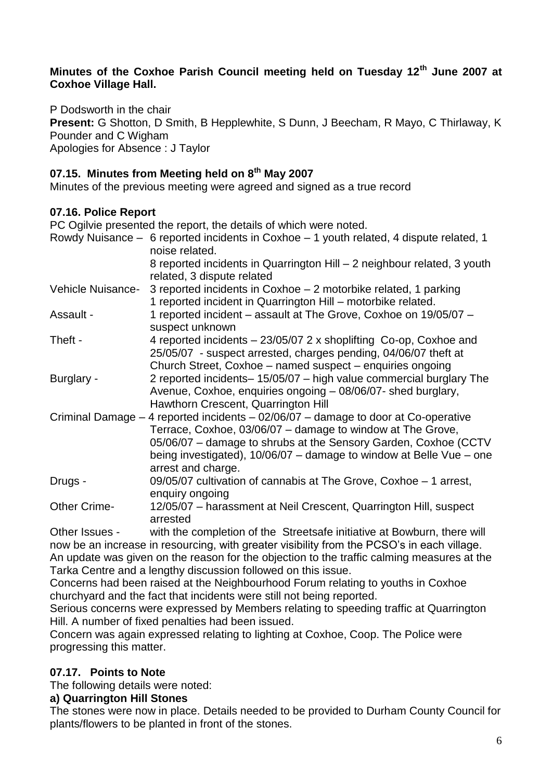### **Minutes of the Coxhoe Parish Council meeting held on Tuesday 12th June 2007 at Coxhoe Village Hall.**

P Dodsworth in the chair **Present:** G Shotton, D Smith, B Hepplewhite, S Dunn, J Beecham, R Mayo, C Thirlaway, K Pounder and C Wigham Apologies for Absence : J Taylor

# **07.15. Minutes from Meeting held on 8th May 2007**

Minutes of the previous meeting were agreed and signed as a true record

# **07.16. Police Report**

PC Ogilvie presented the report, the details of which were noted. Rowdy Nuisance – 6 reported incidents in Coxhoe – 1 youth related, 4 dispute related, 1 noise related. 8 reported incidents in Quarrington Hill – 2 neighbour related, 3 youth related, 3 dispute related Vehicle Nuisance- 3 reported incidents in Coxhoe – 2 motorbike related, 1 parking 1 reported incident in Quarrington Hill – motorbike related. Assault - 1 reported incident – assault at The Grove, Coxhoe on 19/05/07 – suspect unknown Theft - 4 reported incidents – 23/05/07 2 x shoplifting Co-op, Coxhoe and 25/05/07 - suspect arrested, charges pending, 04/06/07 theft at Church Street, Coxhoe – named suspect – enquiries ongoing Burglary - 2 reported incidents– 15/05/07 – high value commercial burglary The Avenue, Coxhoe, enquiries ongoing – 08/06/07- shed burglary, Hawthorn Crescent, Quarrington Hill Criminal Damage – 4 reported incidents – 02/06/07 – damage to door at Co-operative Terrace, Coxhoe, 03/06/07 – damage to window at The Grove, 05/06/07 – damage to shrubs at the Sensory Garden, Coxhoe (CCTV being investigated), 10/06/07 – damage to window at Belle Vue – one arrest and charge. Drugs - 09/05/07 cultivation of cannabis at The Grove, Coxhoe – 1 arrest, enquiry ongoing Other Crime- 12/05/07 – harassment at Neil Crescent, Quarrington Hill, suspect arrested Other Issues - with the completion of the Streetsafe initiative at Bowburn, there will now be an increase in resourcing, with greater visibility from the PCSO's in each village.

An update was given on the reason for the objection to the traffic calming measures at the Tarka Centre and a lengthy discussion followed on this issue.

Concerns had been raised at the Neighbourhood Forum relating to youths in Coxhoe churchyard and the fact that incidents were still not being reported.

Serious concerns were expressed by Members relating to speeding traffic at Quarrington Hill. A number of fixed penalties had been issued.

Concern was again expressed relating to lighting at Coxhoe, Coop. The Police were progressing this matter.

# **07.17. Points to Note**

The following details were noted:

# **a) Quarrington Hill Stones**

The stones were now in place. Details needed to be provided to Durham County Council for plants/flowers to be planted in front of the stones.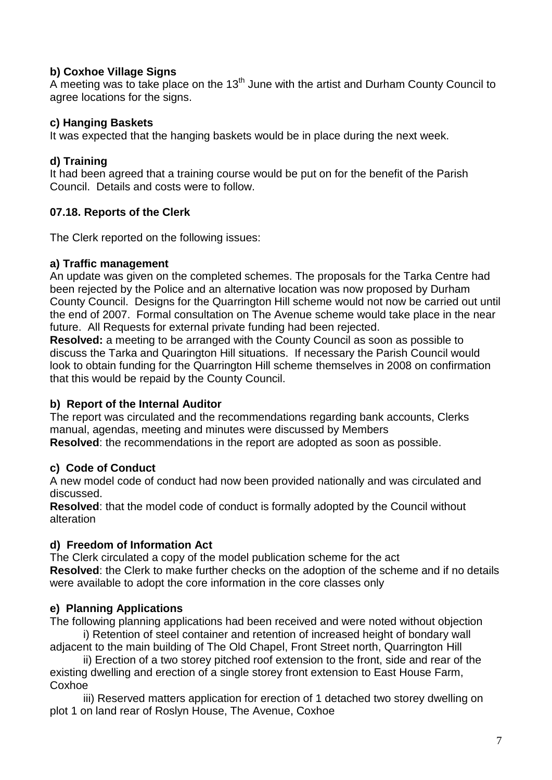# **b) Coxhoe Village Signs**

A meeting was to take place on the  $13<sup>th</sup>$  June with the artist and Durham County Council to agree locations for the signs.

# **c) Hanging Baskets**

It was expected that the hanging baskets would be in place during the next week.

# **d) Training**

It had been agreed that a training course would be put on for the benefit of the Parish Council. Details and costs were to follow.

# **07.18. Reports of the Clerk**

The Clerk reported on the following issues:

# **a) Traffic management**

An update was given on the completed schemes. The proposals for the Tarka Centre had been rejected by the Police and an alternative location was now proposed by Durham County Council. Designs for the Quarrington Hill scheme would not now be carried out until the end of 2007. Formal consultation on The Avenue scheme would take place in the near future. All Requests for external private funding had been rejected.

**Resolved:** a meeting to be arranged with the County Council as soon as possible to discuss the Tarka and Quarington Hill situations. If necessary the Parish Council would look to obtain funding for the Quarrington Hill scheme themselves in 2008 on confirmation that this would be repaid by the County Council.

# **b) Report of the Internal Auditor**

The report was circulated and the recommendations regarding bank accounts, Clerks manual, agendas, meeting and minutes were discussed by Members **Resolved**: the recommendations in the report are adopted as soon as possible.

# **c) Code of Conduct**

A new model code of conduct had now been provided nationally and was circulated and discussed.

**Resolved**: that the model code of conduct is formally adopted by the Council without alteration

# **d) Freedom of Information Act**

The Clerk circulated a copy of the model publication scheme for the act **Resolved**: the Clerk to make further checks on the adoption of the scheme and if no details were available to adopt the core information in the core classes only

# **e) Planning Applications**

The following planning applications had been received and were noted without objection i) Retention of steel container and retention of increased height of bondary wall

adjacent to the main building of The Old Chapel, Front Street north, Quarrington Hill ii) Erection of a two storey pitched roof extension to the front, side and rear of the

existing dwelling and erection of a single storey front extension to East House Farm, Coxhoe

iii) Reserved matters application for erection of 1 detached two storey dwelling on plot 1 on land rear of Roslyn House, The Avenue, Coxhoe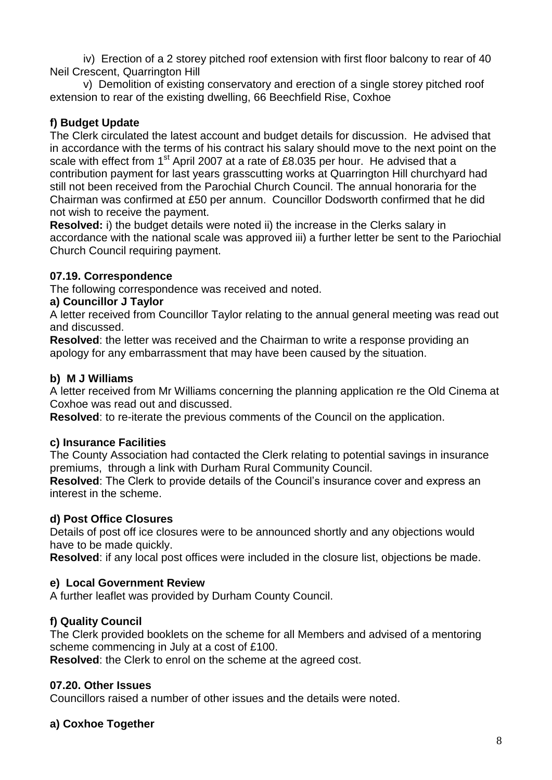iv) Erection of a 2 storey pitched roof extension with first floor balcony to rear of 40 Neil Crescent, Quarrington Hill

v) Demolition of existing conservatory and erection of a single storey pitched roof extension to rear of the existing dwelling, 66 Beechfield Rise, Coxhoe

# **f) Budget Update**

The Clerk circulated the latest account and budget details for discussion. He advised that in accordance with the terms of his contract his salary should move to the next point on the scale with effect from 1<sup>st</sup> April 2007 at a rate of £8.035 per hour. He advised that a contribution payment for last years grasscutting works at Quarrington Hill churchyard had still not been received from the Parochial Church Council. The annual honoraria for the Chairman was confirmed at £50 per annum. Councillor Dodsworth confirmed that he did not wish to receive the payment.

**Resolved:** i) the budget details were noted ii) the increase in the Clerks salary in accordance with the national scale was approved iii) a further letter be sent to the Pariochial Church Council requiring payment.

# **07.19. Correspondence**

The following correspondence was received and noted.

# **a) Councillor J Taylor**

A letter received from Councillor Taylor relating to the annual general meeting was read out and discussed.

**Resolved**: the letter was received and the Chairman to write a response providing an apology for any embarrassment that may have been caused by the situation.

# **b) M J Williams**

A letter received from Mr Williams concerning the planning application re the Old Cinema at Coxhoe was read out and discussed.

**Resolved**: to re-iterate the previous comments of the Council on the application.

# **c) Insurance Facilities**

The County Association had contacted the Clerk relating to potential savings in insurance premiums, through a link with Durham Rural Community Council.

**Resolved**: The Clerk to provide details of the Council's insurance cover and express an interest in the scheme.

# **d) Post Office Closures**

Details of post off ice closures were to be announced shortly and any objections would have to be made quickly.

**Resolved**: if any local post offices were included in the closure list, objections be made.

# **e) Local Government Review**

A further leaflet was provided by Durham County Council.

# **f) Quality Council**

The Clerk provided booklets on the scheme for all Members and advised of a mentoring scheme commencing in July at a cost of £100.

**Resolved**: the Clerk to enrol on the scheme at the agreed cost.

# **07.20. Other Issues**

Councillors raised a number of other issues and the details were noted.

# **a) Coxhoe Together**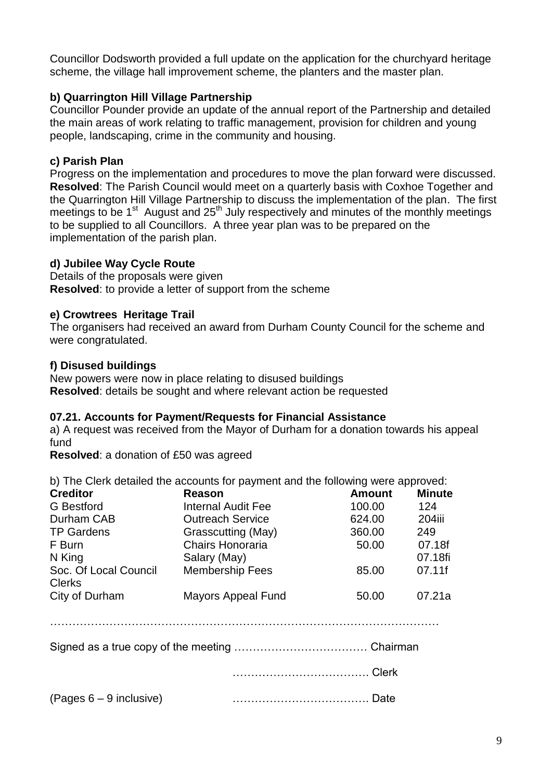Councillor Dodsworth provided a full update on the application for the churchyard heritage scheme, the village hall improvement scheme, the planters and the master plan.

# **b) Quarrington Hill Village Partnership**

Councillor Pounder provide an update of the annual report of the Partnership and detailed the main areas of work relating to traffic management, provision for children and young people, landscaping, crime in the community and housing.

# **c) Parish Plan**

Progress on the implementation and procedures to move the plan forward were discussed. **Resolved**: The Parish Council would meet on a quarterly basis with Coxhoe Together and the Quarrington Hill Village Partnership to discuss the implementation of the plan. The first meetings to be 1<sup>st</sup> August and 25<sup>th</sup> July respectively and minutes of the monthly meetings to be supplied to all Councillors. A three year plan was to be prepared on the implementation of the parish plan.

# **d) Jubilee Way Cycle Route**

Details of the proposals were given **Resolved**: to provide a letter of support from the scheme

### **e) Crowtrees Heritage Trail**

The organisers had received an award from Durham County Council for the scheme and were congratulated.

### **f) Disused buildings**

New powers were now in place relating to disused buildings **Resolved**: details be sought and where relevant action be requested

#### **07.21. Accounts for Payment/Requests for Financial Assistance**

a) A request was received from the Mayor of Durham for a donation towards his appeal fund

**Resolved**: a donation of £50 was agreed

b) The Clerk detailed the accounts for payment and the following were approved:

| <b>Creditor</b>                        | Reason                    | <b>Amount</b> | <b>Minute</b> |
|----------------------------------------|---------------------------|---------------|---------------|
| <b>G</b> Bestford                      | <b>Internal Audit Fee</b> | 100.00        | 124           |
| Durham CAB                             | <b>Outreach Service</b>   | 624.00        | <b>204iii</b> |
| <b>TP Gardens</b>                      | Grasscutting (May)        | 360.00        | 249           |
| F Burn                                 | <b>Chairs Honoraria</b>   | 50.00         | 07.18f        |
| N King                                 | Salary (May)              |               | 07.18fi       |
| Soc. Of Local Council<br><b>Clerks</b> | <b>Membership Fees</b>    | 85.00         | 07.11f        |
| City of Durham                         | <b>Mayors Appeal Fund</b> | 50.00         | 07.21a        |

 $\mathcal{L}^{\text{max}}$ 

Signed as a true copy of the meeting ……………………………… Chairman

………………………………. Clerk

(Pages 6 – 9 inclusive) ………………………………. Date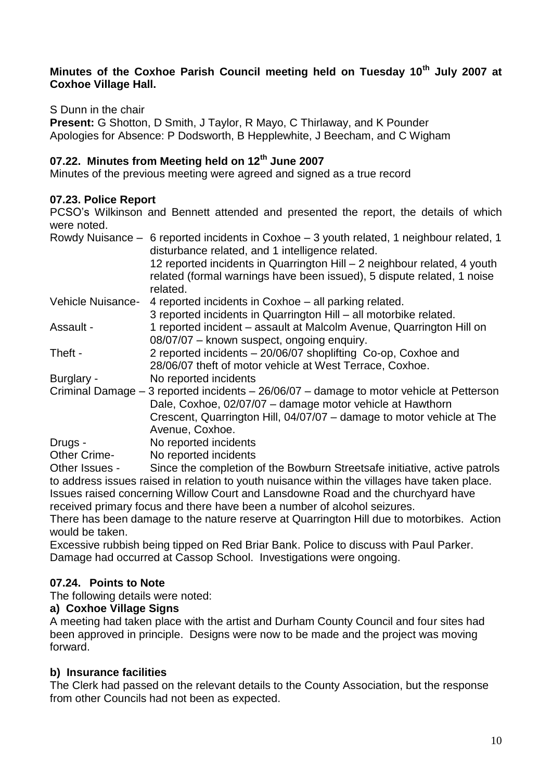### **Minutes of the Coxhoe Parish Council meeting held on Tuesday 10th July 2007 at Coxhoe Village Hall.**

S Dunn in the chair

**Present:** G Shotton, D Smith, J Taylor, R Mayo, C Thirlaway, and K Pounder Apologies for Absence: P Dodsworth, B Hepplewhite, J Beecham, and C Wigham

# **07.22. Minutes from Meeting held on 12th June 2007**

Minutes of the previous meeting were agreed and signed as a true record

# **07.23. Police Report**

PCSO's Wilkinson and Bennett attended and presented the report, the details of which were noted.

|                     | Rowdy Nuisance – 6 reported incidents in Coxhoe – 3 youth related, 1 neighbour related, 1<br>disturbance related, and 1 intelligence related.         |
|---------------------|-------------------------------------------------------------------------------------------------------------------------------------------------------|
|                     | 12 reported incidents in Quarrington Hill - 2 neighbour related, 4 youth                                                                              |
|                     | related (formal warnings have been issued), 5 dispute related, 1 noise<br>related.                                                                    |
| Vehicle Nuisance-   | 4 reported incidents in Coxhoe – all parking related.                                                                                                 |
|                     | 3 reported incidents in Quarrington Hill - all motorbike related.                                                                                     |
| Assault -           | 1 reported incident – assault at Malcolm Avenue, Quarrington Hill on                                                                                  |
|                     | 08/07/07 - known suspect, ongoing enquiry.                                                                                                            |
| Theft -             | 2 reported incidents - 20/06/07 shoplifting Co-op, Coxhoe and                                                                                         |
|                     | 28/06/07 theft of motor vehicle at West Terrace, Coxhoe.                                                                                              |
| Burglary -          | No reported incidents                                                                                                                                 |
|                     | Criminal Damage – 3 reported incidents – 26/06/07 – damage to motor vehicle at Petterson<br>Dale, Coxhoe, 02/07/07 - damage motor vehicle at Hawthorn |
|                     | Crescent, Quarrington Hill, 04/07/07 - damage to motor vehicle at The                                                                                 |
|                     | Avenue, Coxhoe.                                                                                                                                       |
| Drugs -             | No reported incidents                                                                                                                                 |
| <b>Other Crime-</b> | No reported incidents                                                                                                                                 |
| Other Issues -      | Since the completion of the Bowburn Streetsafe initiative, active patrols                                                                             |

to address issues raised in relation to youth nuisance within the villages have taken place. Issues raised concerning Willow Court and Lansdowne Road and the churchyard have received primary focus and there have been a number of alcohol seizures.

There has been damage to the nature reserve at Quarrington Hill due to motorbikes. Action would be taken.

Excessive rubbish being tipped on Red Briar Bank. Police to discuss with Paul Parker. Damage had occurred at Cassop School. Investigations were ongoing.

# **07.24. Points to Note**

The following details were noted:

#### **a) Coxhoe Village Signs**

A meeting had taken place with the artist and Durham County Council and four sites had been approved in principle. Designs were now to be made and the project was moving forward.

#### **b) Insurance facilities**

The Clerk had passed on the relevant details to the County Association, but the response from other Councils had not been as expected.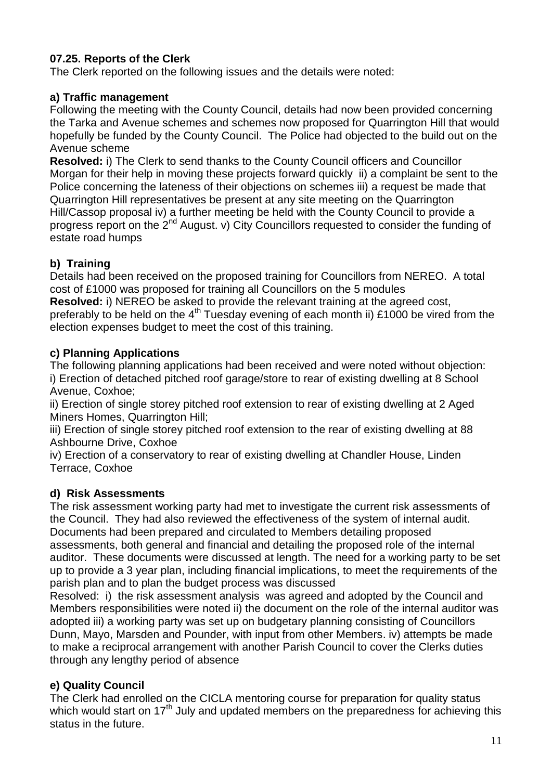# **07.25. Reports of the Clerk**

The Clerk reported on the following issues and the details were noted:

### **a) Traffic management**

Following the meeting with the County Council, details had now been provided concerning the Tarka and Avenue schemes and schemes now proposed for Quarrington Hill that would hopefully be funded by the County Council. The Police had objected to the build out on the Avenue scheme

**Resolved:** i) The Clerk to send thanks to the County Council officers and Councillor Morgan for their help in moving these projects forward quickly ii) a complaint be sent to the Police concerning the lateness of their objections on schemes iii) a request be made that Quarrington Hill representatives be present at any site meeting on the Quarrington Hill/Cassop proposal iv) a further meeting be held with the County Council to provide a progress report on the 2<sup>nd</sup> August. v) City Councillors requested to consider the funding of estate road humps

# **b) Training**

Details had been received on the proposed training for Councillors from NEREO. A total cost of £1000 was proposed for training all Councillors on the 5 modules

**Resolved:** i) NEREO be asked to provide the relevant training at the agreed cost, preferably to be held on the  $4<sup>th</sup>$  Tuesday evening of each month ii) £1000 be vired from the election expenses budget to meet the cost of this training.

### **c) Planning Applications**

The following planning applications had been received and were noted without objection: i) Erection of detached pitched roof garage/store to rear of existing dwelling at 8 School Avenue, Coxhoe;

ii) Erection of single storey pitched roof extension to rear of existing dwelling at 2 Aged Miners Homes, Quarrington Hill;

iii) Erection of single storey pitched roof extension to the rear of existing dwelling at 88 Ashbourne Drive, Coxhoe

iv) Erection of a conservatory to rear of existing dwelling at Chandler House, Linden Terrace, Coxhoe

# **d) Risk Assessments**

The risk assessment working party had met to investigate the current risk assessments of the Council. They had also reviewed the effectiveness of the system of internal audit. Documents had been prepared and circulated to Members detailing proposed assessments, both general and financial and detailing the proposed role of the internal auditor. These documents were discussed at length. The need for a working party to be set up to provide a 3 year plan, including financial implications, to meet the requirements of the parish plan and to plan the budget process was discussed

Resolved: i) the risk assessment analysis was agreed and adopted by the Council and Members responsibilities were noted ii) the document on the role of the internal auditor was adopted iii) a working party was set up on budgetary planning consisting of Councillors Dunn, Mayo, Marsden and Pounder, with input from other Members. iv) attempts be made to make a reciprocal arrangement with another Parish Council to cover the Clerks duties through any lengthy period of absence

# **e) Quality Council**

The Clerk had enrolled on the CICLA mentoring course for preparation for quality status which would start on 17<sup>th</sup> July and updated members on the preparedness for achieving this status in the future.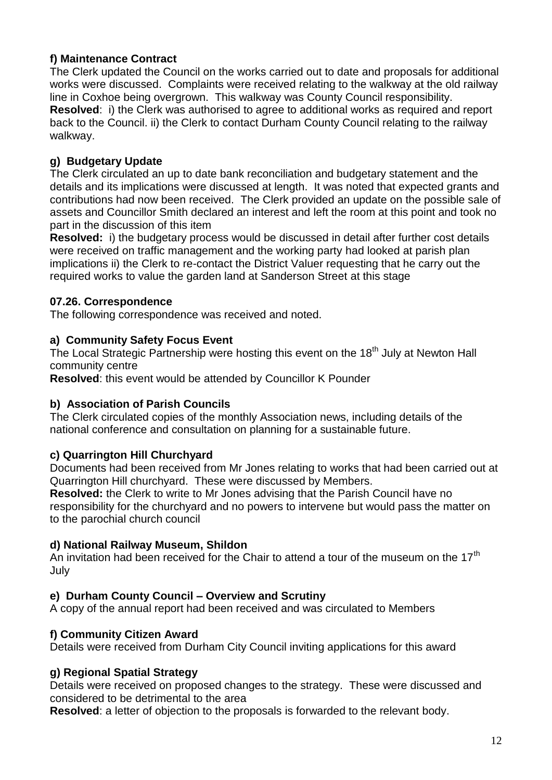# **f) Maintenance Contract**

The Clerk updated the Council on the works carried out to date and proposals for additional works were discussed. Complaints were received relating to the walkway at the old railway line in Coxhoe being overgrown. This walkway was County Council responsibility. **Resolved**: i) the Clerk was authorised to agree to additional works as required and report back to the Council. ii) the Clerk to contact Durham County Council relating to the railway walkway.

# **g) Budgetary Update**

The Clerk circulated an up to date bank reconciliation and budgetary statement and the details and its implications were discussed at length. It was noted that expected grants and contributions had now been received. The Clerk provided an update on the possible sale of assets and Councillor Smith declared an interest and left the room at this point and took no part in the discussion of this item

**Resolved:** i) the budgetary process would be discussed in detail after further cost details were received on traffic management and the working party had looked at parish plan implications ii) the Clerk to re-contact the District Valuer requesting that he carry out the required works to value the garden land at Sanderson Street at this stage

# **07.26. Correspondence**

The following correspondence was received and noted.

# **a) Community Safety Focus Event**

The Local Strategic Partnership were hosting this event on the 18<sup>th</sup> July at Newton Hall community centre

**Resolved**: this event would be attended by Councillor K Pounder

# **b) Association of Parish Councils**

The Clerk circulated copies of the monthly Association news, including details of the national conference and consultation on planning for a sustainable future.

# **c) Quarrington Hill Churchyard**

Documents had been received from Mr Jones relating to works that had been carried out at Quarrington Hill churchyard. These were discussed by Members.

**Resolved:** the Clerk to write to Mr Jones advising that the Parish Council have no responsibility for the churchyard and no powers to intervene but would pass the matter on to the parochial church council

# **d) National Railway Museum, Shildon**

An invitation had been received for the Chair to attend a tour of the museum on the  $17<sup>th</sup>$ July

# **e) Durham County Council – Overview and Scrutiny**

A copy of the annual report had been received and was circulated to Members

# **f) Community Citizen Award**

Details were received from Durham City Council inviting applications for this award

# **g) Regional Spatial Strategy**

Details were received on proposed changes to the strategy. These were discussed and considered to be detrimental to the area

**Resolved**: a letter of objection to the proposals is forwarded to the relevant body.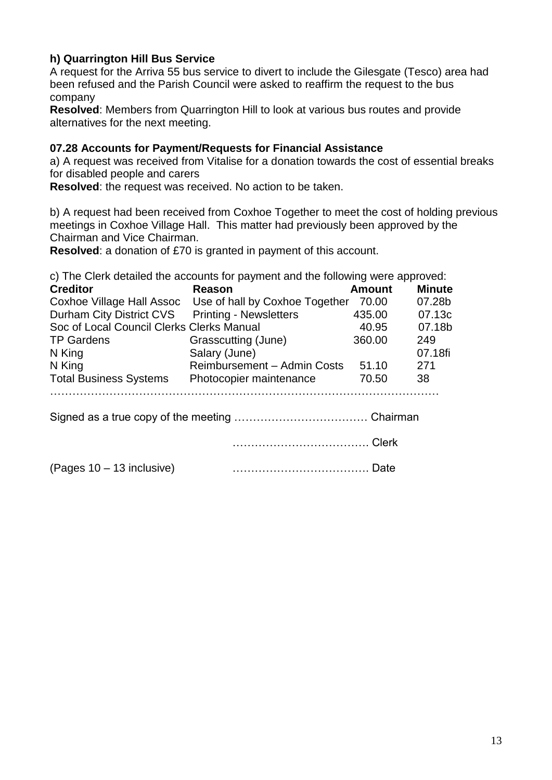# **h) Quarrington Hill Bus Service**

A request for the Arriva 55 bus service to divert to include the Gilesgate (Tesco) area had been refused and the Parish Council were asked to reaffirm the request to the bus company

**Resolved**: Members from Quarrington Hill to look at various bus routes and provide alternatives for the next meeting.

### **07.28 Accounts for Payment/Requests for Financial Assistance**

a) A request was received from Vitalise for a donation towards the cost of essential breaks for disabled people and carers

**Resolved**: the request was received. No action to be taken.

b) A request had been received from Coxhoe Together to meet the cost of holding previous meetings in Coxhoe Village Hall. This matter had previously been approved by the Chairman and Vice Chairman.

**Resolved**: a donation of £70 is granted in payment of this account.

c) The Clerk detailed the accounts for payment and the following were approved:

| <b>Creditor</b>                           | <b>Reason</b>                  | <b>Amount</b> | <b>Minute</b> |
|-------------------------------------------|--------------------------------|---------------|---------------|
| Coxhoe Village Hall Assoc                 | Use of hall by Coxhoe Together | 70.00         | 07.28b        |
| Durham City District CVS                  | <b>Printing - Newsletters</b>  | 435.00        | 07.13c        |
| Soc of Local Council Clerks Clerks Manual |                                | 40.95         | 07.18b        |
| <b>TP Gardens</b>                         | Grasscutting (June)            | 360.00        | 249           |
| N King                                    | Salary (June)                  |               | 07.18fi       |
| N King                                    | Reimbursement - Admin Costs    | 51.10         | 271           |
| <b>Total Business Systems</b>             | Photocopier maintenance        | 70.50         | 38            |
|                                           |                                |               |               |
|                                           |                                |               |               |
|                                           | Clerk                          |               |               |
| (Pages $10 - 13$ inclusive)               |                                |               |               |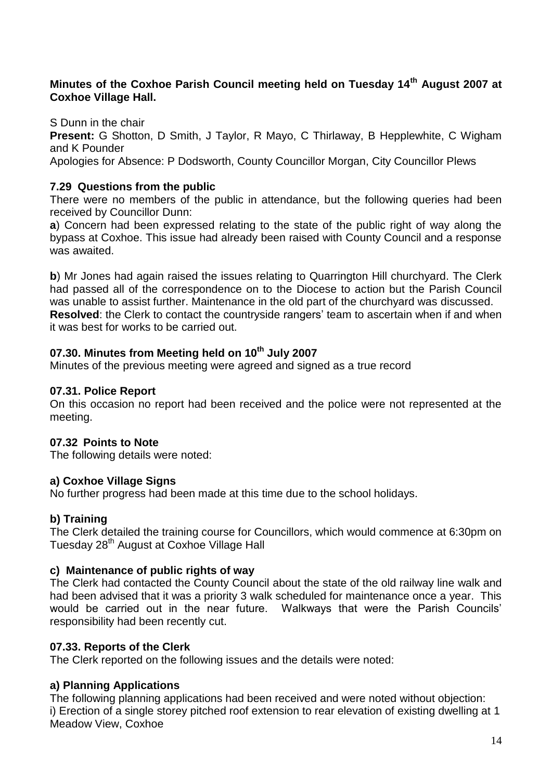# **Minutes of the Coxhoe Parish Council meeting held on Tuesday 14th August 2007 at Coxhoe Village Hall.**

S Dunn in the chair

**Present:** G Shotton, D Smith, J Taylor, R Mayo, C Thirlaway, B Hepplewhite, C Wigham and K Pounder

Apologies for Absence: P Dodsworth, County Councillor Morgan, City Councillor Plews

### **7.29 Questions from the public**

There were no members of the public in attendance, but the following queries had been received by Councillor Dunn:

**a**) Concern had been expressed relating to the state of the public right of way along the bypass at Coxhoe. This issue had already been raised with County Council and a response was awaited.

**b**) Mr Jones had again raised the issues relating to Quarrington Hill churchyard. The Clerk had passed all of the correspondence on to the Diocese to action but the Parish Council was unable to assist further. Maintenance in the old part of the churchyard was discussed. **Resolved**: the Clerk to contact the countryside rangers' team to ascertain when if and when it was best for works to be carried out.

# **07.30. Minutes from Meeting held on 10th July 2007**

Minutes of the previous meeting were agreed and signed as a true record

#### **07.31. Police Report**

On this occasion no report had been received and the police were not represented at the meeting.

#### **07.32 Points to Note**

The following details were noted:

#### **a) Coxhoe Village Signs**

No further progress had been made at this time due to the school holidays.

#### **b) Training**

The Clerk detailed the training course for Councillors, which would commence at 6:30pm on Tuesday 28<sup>th</sup> August at Coxhoe Village Hall

#### **c) Maintenance of public rights of way**

The Clerk had contacted the County Council about the state of the old railway line walk and had been advised that it was a priority 3 walk scheduled for maintenance once a year. This would be carried out in the near future. Walkways that were the Parish Councils' responsibility had been recently cut.

#### **07.33. Reports of the Clerk**

The Clerk reported on the following issues and the details were noted:

#### **a) Planning Applications**

The following planning applications had been received and were noted without objection: i) Erection of a single storey pitched roof extension to rear elevation of existing dwelling at 1 Meadow View, Coxhoe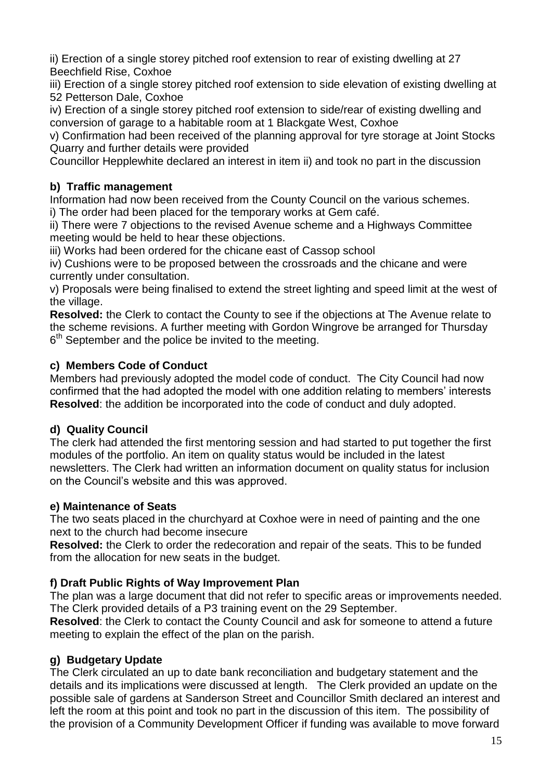ii) Erection of a single storey pitched roof extension to rear of existing dwelling at 27 Beechfield Rise, Coxhoe

iii) Erection of a single storey pitched roof extension to side elevation of existing dwelling at 52 Petterson Dale, Coxhoe

iv) Erection of a single storey pitched roof extension to side/rear of existing dwelling and conversion of garage to a habitable room at 1 Blackgate West, Coxhoe

v) Confirmation had been received of the planning approval for tyre storage at Joint Stocks Quarry and further details were provided

Councillor Hepplewhite declared an interest in item ii) and took no part in the discussion

# **b) Traffic management**

Information had now been received from the County Council on the various schemes. i) The order had been placed for the temporary works at Gem café.

ii) There were 7 objections to the revised Avenue scheme and a Highways Committee meeting would be held to hear these objections.

iii) Works had been ordered for the chicane east of Cassop school

iv) Cushions were to be proposed between the crossroads and the chicane and were currently under consultation.

v) Proposals were being finalised to extend the street lighting and speed limit at the west of the village.

**Resolved:** the Clerk to contact the County to see if the objections at The Avenue relate to the scheme revisions. A further meeting with Gordon Wingrove be arranged for Thursday  $6<sup>th</sup>$  September and the police be invited to the meeting.

# **c) Members Code of Conduct**

Members had previously adopted the model code of conduct. The City Council had now confirmed that the had adopted the model with one addition relating to members' interests **Resolved**: the addition be incorporated into the code of conduct and duly adopted.

# **d) Quality Council**

The clerk had attended the first mentoring session and had started to put together the first modules of the portfolio. An item on quality status would be included in the latest newsletters. The Clerk had written an information document on quality status for inclusion on the Council's website and this was approved.

# **e) Maintenance of Seats**

The two seats placed in the churchyard at Coxhoe were in need of painting and the one next to the church had become insecure

**Resolved:** the Clerk to order the redecoration and repair of the seats. This to be funded from the allocation for new seats in the budget.

# **f) Draft Public Rights of Way Improvement Plan**

The plan was a large document that did not refer to specific areas or improvements needed. The Clerk provided details of a P3 training event on the 29 September.

**Resolved**: the Clerk to contact the County Council and ask for someone to attend a future meeting to explain the effect of the plan on the parish.

# **g) Budgetary Update**

The Clerk circulated an up to date bank reconciliation and budgetary statement and the details and its implications were discussed at length. The Clerk provided an update on the possible sale of gardens at Sanderson Street and Councillor Smith declared an interest and left the room at this point and took no part in the discussion of this item. The possibility of the provision of a Community Development Officer if funding was available to move forward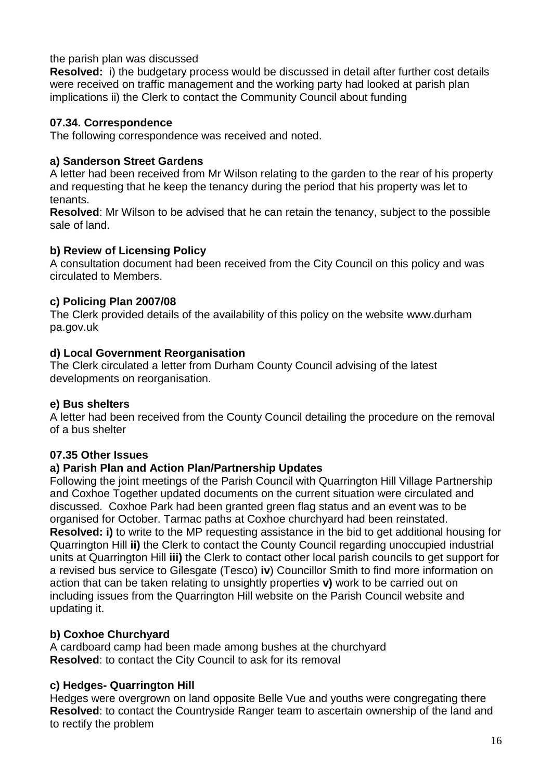### the parish plan was discussed

**Resolved:** i) the budgetary process would be discussed in detail after further cost details were received on traffic management and the working party had looked at parish plan implications ii) the Clerk to contact the Community Council about funding

### **07.34. Correspondence**

The following correspondence was received and noted.

### **a) Sanderson Street Gardens**

A letter had been received from Mr Wilson relating to the garden to the rear of his property and requesting that he keep the tenancy during the period that his property was let to tenants.

**Resolved**: Mr Wilson to be advised that he can retain the tenancy, subject to the possible sale of land.

### **b) Review of Licensing Policy**

A consultation document had been received from the City Council on this policy and was circulated to Members.

### **c) Policing Plan 2007/08**

The Clerk provided details of the availability of this policy on the website [www.durham](http://www.durham/) pa.gov.uk

### **d) Local Government Reorganisation**

The Clerk circulated a letter from Durham County Council advising of the latest developments on reorganisation.

# **e) Bus shelters**

A letter had been received from the County Council detailing the procedure on the removal of a bus shelter

# **07.35 Other Issues**

#### **a) Parish Plan and Action Plan/Partnership Updates**

Following the joint meetings of the Parish Council with Quarrington Hill Village Partnership and Coxhoe Together updated documents on the current situation were circulated and discussed. Coxhoe Park had been granted green flag status and an event was to be organised for October. Tarmac paths at Coxhoe churchyard had been reinstated. **Resolved: i)** to write to the MP requesting assistance in the bid to get additional housing for Quarrington Hill **ii)** the Clerk to contact the County Council regarding unoccupied industrial units at Quarrington Hill **iii)** the Clerk to contact other local parish councils to get support for a revised bus service to Gilesgate (Tesco) **iv**) Councillor Smith to find more information on action that can be taken relating to unsightly properties **v)** work to be carried out on including issues from the Quarrington Hill website on the Parish Council website and updating it.

# **b) Coxhoe Churchyard**

A cardboard camp had been made among bushes at the churchyard **Resolved**: to contact the City Council to ask for its removal

# **c) Hedges- Quarrington Hill**

Hedges were overgrown on land opposite Belle Vue and youths were congregating there **Resolved**: to contact the Countryside Ranger team to ascertain ownership of the land and to rectify the problem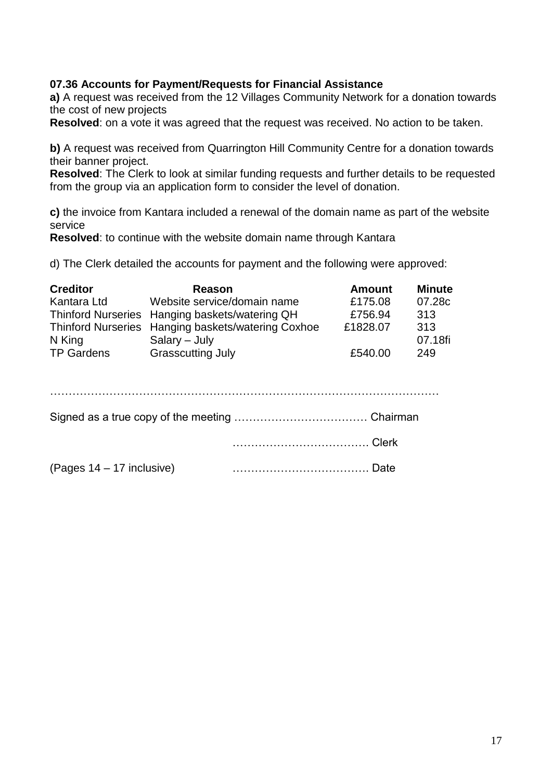### **07.36 Accounts for Payment/Requests for Financial Assistance**

**a)** A request was received from the 12 Villages Community Network for a donation towards the cost of new projects

**Resolved**: on a vote it was agreed that the request was received. No action to be taken.

**b)** A request was received from Quarrington Hill Community Centre for a donation towards their banner project.

**Resolved**: The Clerk to look at similar funding requests and further details to be requested from the group via an application form to consider the level of donation.

**c)** the invoice from Kantara included a renewal of the domain name as part of the website service

**Resolved**: to continue with the website domain name through Kantara

d) The Clerk detailed the accounts for payment and the following were approved:

| <b>Creditor</b>   | Reason                                             | <b>Amount</b> | <b>Minute</b> |
|-------------------|----------------------------------------------------|---------------|---------------|
| Kantara Ltd       | Website service/domain name                        | £175.08       | 07.28c        |
|                   | Thinford Nurseries Hanging baskets/watering QH     | £756.94       | 313           |
|                   | Thinford Nurseries Hanging baskets/watering Coxhoe | £1828.07      | 313           |
| N King            | $S$ alary – July                                   |               | 07.18fi       |
| <b>TP Gardens</b> | <b>Grasscutting July</b>                           | £540.00       | 249           |

| (Pages 14 – 17 inclusive) |  |
|---------------------------|--|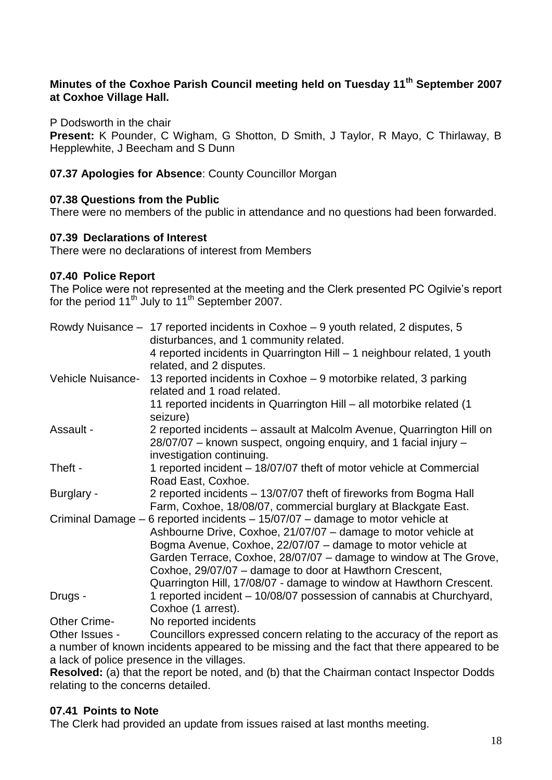# **Minutes of the Coxhoe Parish Council meeting held on Tuesday 11th September 2007 at Coxhoe Village Hall.**

P Dodsworth in the chair

**Present:** K Pounder, C Wigham, G Shotton, D Smith, J Taylor, R Mayo, C Thirlaway, B Hepplewhite, J Beecham and S Dunn

**07.37 Apologies for Absence**: County Councillor Morgan

### **07.38 Questions from the Public**

There were no members of the public in attendance and no questions had been forwarded.

#### **07.39 Declarations of Interest**

There were no declarations of interest from Members

### **07.40 Police Report**

The Police were not represented at the meeting and the Clerk presented PC Ogilvie's report for the period  $11^{th}$  July to  $11^{th}$  September 2007.

|                     | Rowdy Nuisance - 17 reported incidents in Coxhoe - 9 youth related, 2 disputes, 5<br>disturbances, and 1 community related.                                                                                                                                                                                                                                                                            |
|---------------------|--------------------------------------------------------------------------------------------------------------------------------------------------------------------------------------------------------------------------------------------------------------------------------------------------------------------------------------------------------------------------------------------------------|
|                     | 4 reported incidents in Quarrington Hill - 1 neighbour related, 1 youth<br>related, and 2 disputes.                                                                                                                                                                                                                                                                                                    |
| Vehicle Nuisance-   | 13 reported incidents in Coxhoe – 9 motorbike related, 3 parking<br>related and 1 road related.                                                                                                                                                                                                                                                                                                        |
|                     | 11 reported incidents in Quarrington Hill - all motorbike related (1<br>seizure)                                                                                                                                                                                                                                                                                                                       |
| Assault -           | 2 reported incidents – assault at Malcolm Avenue, Quarrington Hill on<br>28/07/07 – known suspect, ongoing enquiry, and 1 facial injury –<br>investigation continuing.                                                                                                                                                                                                                                 |
| Theft -             | 1 reported incident - 18/07/07 theft of motor vehicle at Commercial<br>Road East, Coxhoe.                                                                                                                                                                                                                                                                                                              |
| Burglary -          | 2 reported incidents - 13/07/07 theft of fireworks from Bogma Hall<br>Farm, Coxhoe, 18/08/07, commercial burglary at Blackgate East.                                                                                                                                                                                                                                                                   |
| Criminal Damage -   | 6 reported incidents $- 15/07/07 -$ damage to motor vehicle at<br>Ashbourne Drive, Coxhoe, 21/07/07 - damage to motor vehicle at<br>Bogma Avenue, Coxhoe, 22/07/07 – damage to motor vehicle at<br>Garden Terrace, Coxhoe, 28/07/07 - damage to window at The Grove,<br>Coxhoe, 29/07/07 – damage to door at Hawthorn Crescent,<br>Quarrington Hill, 17/08/07 - damage to window at Hawthorn Crescent. |
| Drugs -             | 1 reported incident – 10/08/07 possession of cannabis at Churchyard,<br>Coxhoe (1 arrest).                                                                                                                                                                                                                                                                                                             |
| <b>Other Crime-</b> | No reported incidents                                                                                                                                                                                                                                                                                                                                                                                  |

Other Issues - Councillors expressed concern relating to the accuracy of the report as a number of known incidents appeared to be missing and the fact that there appeared to be a lack of police presence in the villages.

**Resolved:** (a) that the report be noted, and (b) that the Chairman contact Inspector Dodds relating to the concerns detailed.

#### **07.41 Points to Note**

The Clerk had provided an update from issues raised at last months meeting.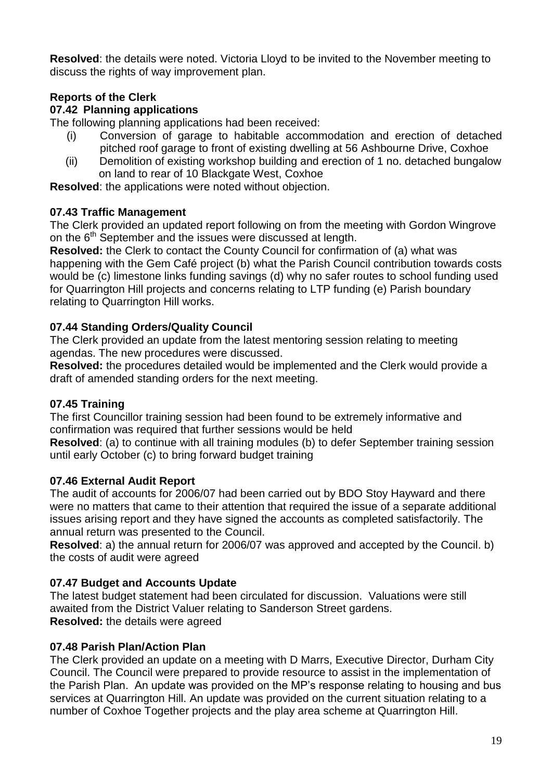**Resolved**: the details were noted. Victoria Lloyd to be invited to the November meeting to discuss the rights of way improvement plan.

# **Reports of the Clerk**

# **07.42 Planning applications**

The following planning applications had been received:

- (i) Conversion of garage to habitable accommodation and erection of detached pitched roof garage to front of existing dwelling at 56 Ashbourne Drive, Coxhoe
- (ii) Demolition of existing workshop building and erection of 1 no. detached bungalow on land to rear of 10 Blackgate West, Coxhoe

**Resolved**: the applications were noted without objection.

# **07.43 Traffic Management**

The Clerk provided an updated report following on from the meeting with Gordon Wingrove on the 6<sup>th</sup> September and the issues were discussed at length.

**Resolved:** the Clerk to contact the County Council for confirmation of (a) what was happening with the Gem Café project (b) what the Parish Council contribution towards costs would be (c) limestone links funding savings (d) why no safer routes to school funding used for Quarrington Hill projects and concerns relating to LTP funding (e) Parish boundary relating to Quarrington Hill works.

# **07.44 Standing Orders/Quality Council**

The Clerk provided an update from the latest mentoring session relating to meeting agendas. The new procedures were discussed.

**Resolved:** the procedures detailed would be implemented and the Clerk would provide a draft of amended standing orders for the next meeting.

# **07.45 Training**

The first Councillor training session had been found to be extremely informative and confirmation was required that further sessions would be held

**Resolved**: (a) to continue with all training modules (b) to defer September training session until early October (c) to bring forward budget training

# **07.46 External Audit Report**

The audit of accounts for 2006/07 had been carried out by BDO Stoy Hayward and there were no matters that came to their attention that required the issue of a separate additional issues arising report and they have signed the accounts as completed satisfactorily. The annual return was presented to the Council.

**Resolved**: a) the annual return for 2006/07 was approved and accepted by the Council. b) the costs of audit were agreed

# **07.47 Budget and Accounts Update**

The latest budget statement had been circulated for discussion. Valuations were still awaited from the District Valuer relating to Sanderson Street gardens. **Resolved:** the details were agreed

# **07.48 Parish Plan/Action Plan**

The Clerk provided an update on a meeting with D Marrs, Executive Director, Durham City Council. The Council were prepared to provide resource to assist in the implementation of the Parish Plan. An update was provided on the MP's response relating to housing and bus services at Quarrington Hill. An update was provided on the current situation relating to a number of Coxhoe Together projects and the play area scheme at Quarrington Hill.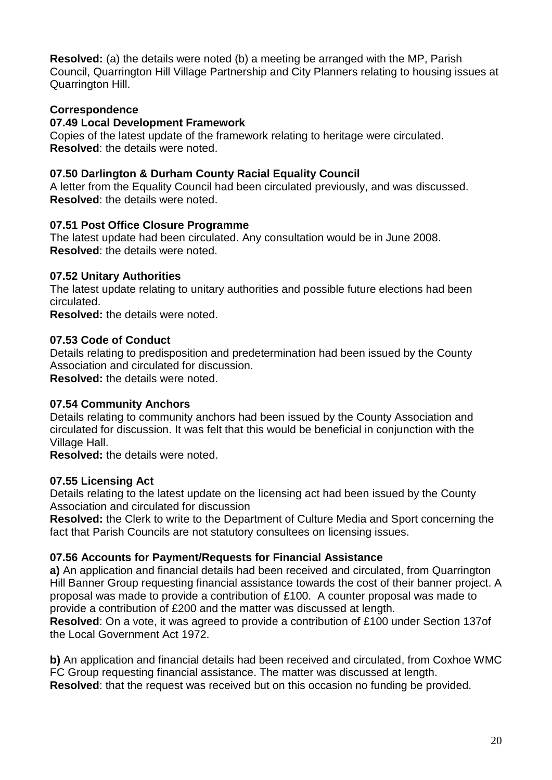**Resolved:** (a) the details were noted (b) a meeting be arranged with the MP, Parish Council, Quarrington Hill Village Partnership and City Planners relating to housing issues at Quarrington Hill.

# **Correspondence**

# **07.49 Local Development Framework**

Copies of the latest update of the framework relating to heritage were circulated. **Resolved**: the details were noted.

### **07.50 Darlington & Durham County Racial Equality Council**

A letter from the Equality Council had been circulated previously, and was discussed. **Resolved**: the details were noted.

### **07.51 Post Office Closure Programme**

The latest update had been circulated. Any consultation would be in June 2008. **Resolved**: the details were noted.

### **07.52 Unitary Authorities**

The latest update relating to unitary authorities and possible future elections had been circulated.

**Resolved:** the details were noted.

### **07.53 Code of Conduct**

Details relating to predisposition and predetermination had been issued by the County Association and circulated for discussion. **Resolved:** the details were noted.

#### **07.54 Community Anchors**

Details relating to community anchors had been issued by the County Association and circulated for discussion. It was felt that this would be beneficial in conjunction with the Village Hall.

**Resolved:** the details were noted.

#### **07.55 Licensing Act**

Details relating to the latest update on the licensing act had been issued by the County Association and circulated for discussion

**Resolved:** the Clerk to write to the Department of Culture Media and Sport concerning the fact that Parish Councils are not statutory consultees on licensing issues.

# **07.56 Accounts for Payment/Requests for Financial Assistance**

**a)** An application and financial details had been received and circulated, from Quarrington Hill Banner Group requesting financial assistance towards the cost of their banner project. A proposal was made to provide a contribution of £100. A counter proposal was made to provide a contribution of £200 and the matter was discussed at length.

**Resolved**: On a vote, it was agreed to provide a contribution of £100 under Section 137of the Local Government Act 1972.

**b)** An application and financial details had been received and circulated, from Coxhoe WMC FC Group requesting financial assistance. The matter was discussed at length. **Resolved**: that the request was received but on this occasion no funding be provided.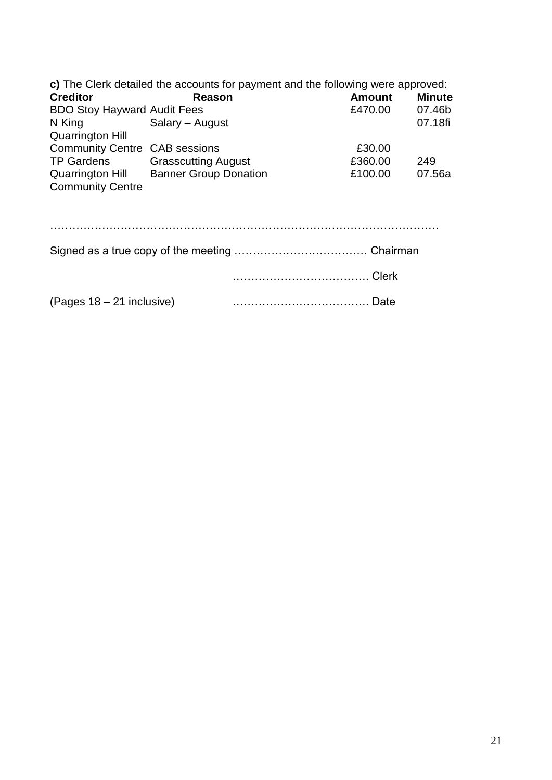| c) The Clerk detailed the accounts for payment and the following were approved: |                 |       |         |               |
|---------------------------------------------------------------------------------|-----------------|-------|---------|---------------|
| <b>Creditor</b>                                                                 | Reason          |       | Amount  | <b>Minute</b> |
| <b>BDO Stoy Hayward Audit Fees</b>                                              |                 |       | £470.00 | 07.46b        |
| N King                                                                          | Salary - August |       |         | 07.18fi       |
| <b>Quarrington Hill</b>                                                         |                 |       |         |               |
| <b>Community Centre CAB sessions</b>                                            |                 |       | £30.00  |               |
| TP Gardens Grasscutting August                                                  |                 |       | £360.00 | 249           |
| Quarrington Hill Banner Group Donation                                          |                 |       | £100.00 | 07.56a        |
| <b>Community Centre</b>                                                         |                 |       |         |               |
|                                                                                 |                 |       |         |               |
|                                                                                 |                 |       |         |               |
|                                                                                 |                 | Clerk |         |               |
| (Pages 18 – 21 inclusive)                                                       |                 |       | Date    |               |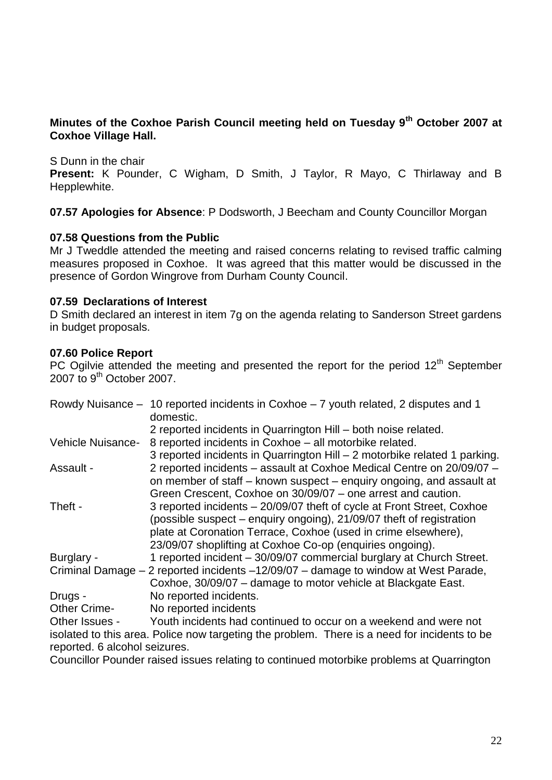# **Minutes of the Coxhoe Parish Council meeting held on Tuesday 9th October 2007 at Coxhoe Village Hall.**

S Dunn in the chair

**Present:** K Pounder, C Wigham, D Smith, J Taylor, R Mayo, C Thirlaway and B Hepplewhite.

**07.57 Apologies for Absence**: P Dodsworth, J Beecham and County Councillor Morgan

#### **07.58 Questions from the Public**

Mr J Tweddle attended the meeting and raised concerns relating to revised traffic calming measures proposed in Coxhoe. It was agreed that this matter would be discussed in the presence of Gordon Wingrove from Durham County Council.

#### **07.59 Declarations of Interest**

D Smith declared an interest in item 7g on the agenda relating to Sanderson Street gardens in budget proposals.

#### **07.60 Police Report**

PC Ogilvie attended the meeting and presented the report for the period 12<sup>th</sup> September  $2007$  to  $9<sup>th</sup>$  October 2007.

|                          | Rowdy Nuisance – 10 reported incidents in Coxhoe – 7 youth related, 2 disputes and 1<br>domestic. |
|--------------------------|---------------------------------------------------------------------------------------------------|
|                          | 2 reported incidents in Quarrington Hill – both noise related.                                    |
| <b>Vehicle Nuisance-</b> | 8 reported incidents in Coxhoe - all motorbike related.                                           |
|                          | 3 reported incidents in Quarrington Hill - 2 motorbike related 1 parking.                         |
| Assault -                | 2 reported incidents - assault at Coxhoe Medical Centre on 20/09/07 -                             |
|                          | on member of staff – known suspect – enquiry ongoing, and assault at                              |
|                          | Green Crescent, Coxhoe on 30/09/07 - one arrest and caution.                                      |
| Theft -                  | 3 reported incidents – 20/09/07 theft of cycle at Front Street, Coxhoe                            |
|                          | (possible suspect – enquiry ongoing), 21/09/07 theft of registration                              |
|                          | plate at Coronation Terrace, Coxhoe (used in crime elsewhere),                                    |
|                          | 23/09/07 shoplifting at Coxhoe Co-op (enquiries ongoing).                                         |
| Burglary -               | 1 reported incident - 30/09/07 commercial burglary at Church Street.                              |
|                          | Criminal Damage – 2 reported incidents –12/09/07 – damage to window at West Parade,               |
|                          | Coxhoe, 30/09/07 - damage to motor vehicle at Blackgate East.                                     |
| Drugs -                  | No reported incidents.                                                                            |
| <b>Other Crime-</b>      | No reported incidents                                                                             |
| Other Issues -           | Youth incidents had continued to occur on a weekend and were not                                  |

isolated to this area. Police now targeting the problem. There is a need for incidents to be reported. 6 alcohol seizures.

Councillor Pounder raised issues relating to continued motorbike problems at Quarrington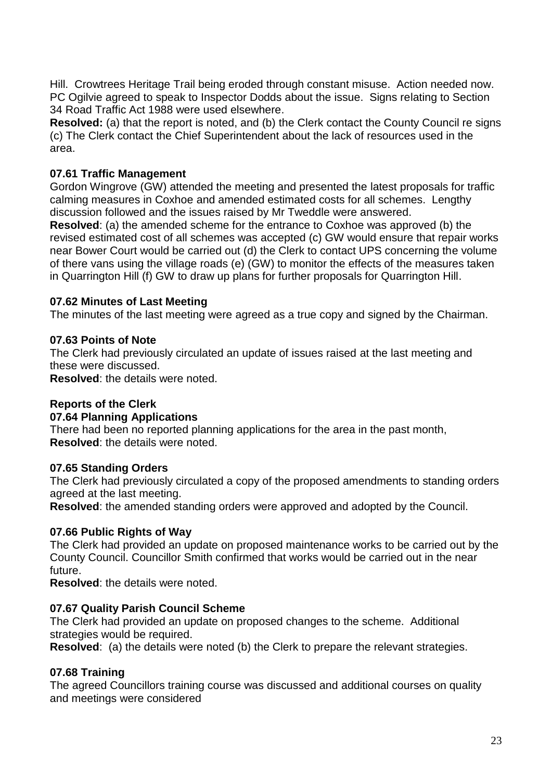Hill. Crowtrees Heritage Trail being eroded through constant misuse. Action needed now. PC Ogilvie agreed to speak to Inspector Dodds about the issue. Signs relating to Section 34 Road Traffic Act 1988 were used elsewhere.

**Resolved:** (a) that the report is noted, and (b) the Clerk contact the County Council re signs (c) The Clerk contact the Chief Superintendent about the lack of resources used in the area.

### **07.61 Traffic Management**

Gordon Wingrove (GW) attended the meeting and presented the latest proposals for traffic calming measures in Coxhoe and amended estimated costs for all schemes. Lengthy discussion followed and the issues raised by Mr Tweddle were answered.

**Resolved**: (a) the amended scheme for the entrance to Coxhoe was approved (b) the revised estimated cost of all schemes was accepted (c) GW would ensure that repair works near Bower Court would be carried out (d) the Clerk to contact UPS concerning the volume of there vans using the village roads (e) (GW) to monitor the effects of the measures taken in Quarrington Hill (f) GW to draw up plans for further proposals for Quarrington Hill.

#### **07.62 Minutes of Last Meeting**

The minutes of the last meeting were agreed as a true copy and signed by the Chairman.

#### **07.63 Points of Note**

The Clerk had previously circulated an update of issues raised at the last meeting and these were discussed.

**Resolved**: the details were noted.

#### **Reports of the Clerk**

#### **07.64 Planning Applications**

There had been no reported planning applications for the area in the past month, **Resolved**: the details were noted.

#### **07.65 Standing Orders**

The Clerk had previously circulated a copy of the proposed amendments to standing orders agreed at the last meeting.

**Resolved**: the amended standing orders were approved and adopted by the Council.

#### **07.66 Public Rights of Way**

The Clerk had provided an update on proposed maintenance works to be carried out by the County Council. Councillor Smith confirmed that works would be carried out in the near future.

**Resolved**: the details were noted.

#### **07.67 Quality Parish Council Scheme**

The Clerk had provided an update on proposed changes to the scheme. Additional strategies would be required.

**Resolved:** (a) the details were noted (b) the Clerk to prepare the relevant strategies.

#### **07.68 Training**

The agreed Councillors training course was discussed and additional courses on quality and meetings were considered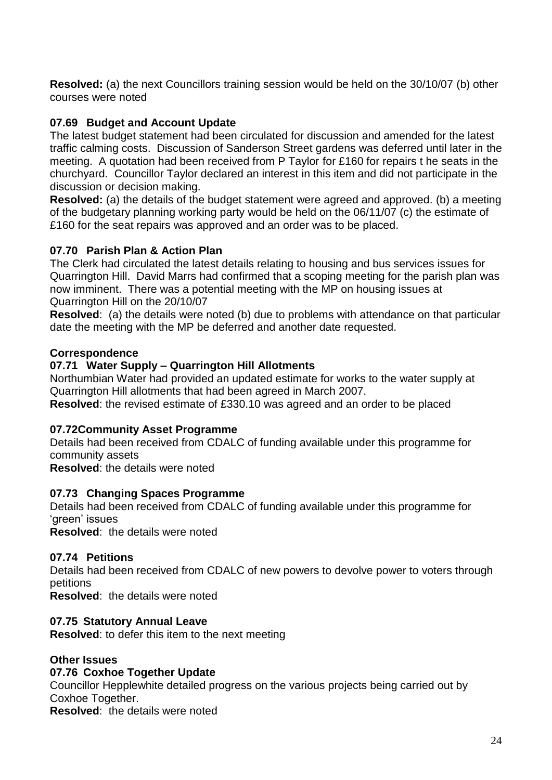**Resolved:** (a) the next Councillors training session would be held on the 30/10/07 (b) other courses were noted

# **07.69 Budget and Account Update**

The latest budget statement had been circulated for discussion and amended for the latest traffic calming costs. Discussion of Sanderson Street gardens was deferred until later in the meeting. A quotation had been received from P Taylor for £160 for repairs t he seats in the churchyard. Councillor Taylor declared an interest in this item and did not participate in the discussion or decision making.

**Resolved:** (a) the details of the budget statement were agreed and approved. (b) a meeting of the budgetary planning working party would be held on the 06/11/07 (c) the estimate of £160 for the seat repairs was approved and an order was to be placed.

# **07.70 Parish Plan & Action Plan**

The Clerk had circulated the latest details relating to housing and bus services issues for Quarrington Hill. David Marrs had confirmed that a scoping meeting for the parish plan was now imminent. There was a potential meeting with the MP on housing issues at Quarrington Hill on the 20/10/07

**Resolved:** (a) the details were noted (b) due to problems with attendance on that particular date the meeting with the MP be deferred and another date requested.

# **Correspondence**

# **07.71 Water Supply – Quarrington Hill Allotments**

Northumbian Water had provided an updated estimate for works to the water supply at Quarrington Hill allotments that had been agreed in March 2007.

**Resolved**: the revised estimate of £330.10 was agreed and an order to be placed

# **07.72Community Asset Programme**

Details had been received from CDALC of funding available under this programme for community assets

**Resolved**: the details were noted

# **07.73 Changing Spaces Programme**

Details had been received from CDALC of funding available under this programme for 'green' issues

**Resolved**: the details were noted

# **07.74 Petitions**

Details had been received from CDALC of new powers to devolve power to voters through petitions

**Resolved**: the details were noted

# **07.75 Statutory Annual Leave**

**Resolved**: to defer this item to the next meeting

# **Other Issues**

# **07.76 Coxhoe Together Update**

Councillor Hepplewhite detailed progress on the various projects being carried out by Coxhoe Together.

**Resolved**: the details were noted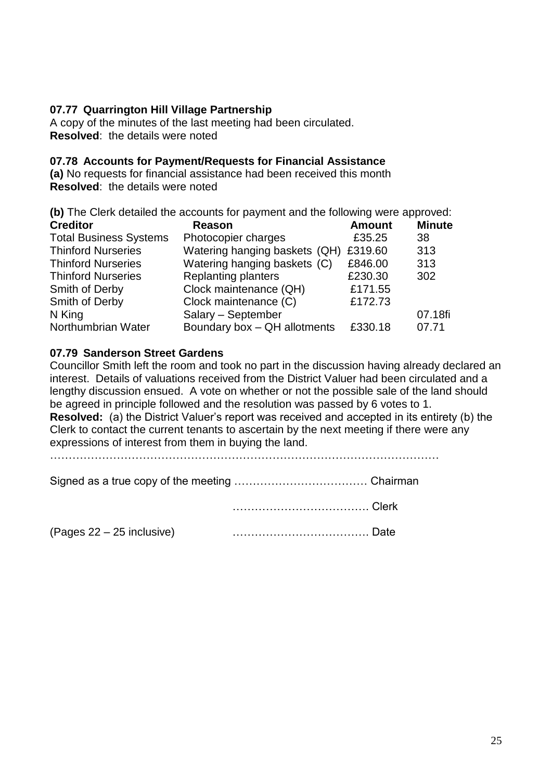# **07.77 Quarrington Hill Village Partnership**

A copy of the minutes of the last meeting had been circulated. **Resolved**: the details were noted

#### **07.78 Accounts for Payment/Requests for Financial Assistance**

**(a)** No requests for financial assistance had been received this month **Resolved**: the details were noted

| (b) The Clerk detailed the accounts for payment and the following were approved: |                               |               |               |  |  |
|----------------------------------------------------------------------------------|-------------------------------|---------------|---------------|--|--|
| <b>Creditor</b>                                                                  | <b>Reason</b>                 | <b>Amount</b> | <b>Minute</b> |  |  |
| <b>Total Business Systems</b>                                                    | Photocopier charges           | £35.25        | 38            |  |  |
| <b>Thinford Nurseries</b>                                                        | Watering hanging baskets (QH) | £319.60       | 313           |  |  |
| <b>Thinford Nurseries</b>                                                        | Watering hanging baskets (C)  | £846.00       | 313           |  |  |
| <b>Thinford Nurseries</b>                                                        | <b>Replanting planters</b>    | £230.30       | 302           |  |  |
| Smith of Derby                                                                   | Clock maintenance (QH)        | £171.55       |               |  |  |
| Smith of Derby                                                                   | Clock maintenance (C)         | £172.73       |               |  |  |
| N King                                                                           | Salary - September            |               | 07.18fi       |  |  |
| Northumbrian Water                                                               | Boundary box - QH allotments  | £330.18       | 07.71         |  |  |

#### **07.79 Sanderson Street Gardens**

Councillor Smith left the room and took no part in the discussion having already declared an interest. Details of valuations received from the District Valuer had been circulated and a lengthy discussion ensued. A vote on whether or not the possible sale of the land should be agreed in principle followed and the resolution was passed by 6 votes to 1. **Resolved:** (a) the District Valuer's report was received and accepted in its entirety (b) the Clerk to contact the current tenants to ascertain by the next meeting if there were any expressions of interest from them in buying the land.

……………………………………………………………………………………………

Signed as a true copy of the meeting ……………………………… Chairman

………………………………. Clerk

(Pages 22 – 25 inclusive) ………………………………. Date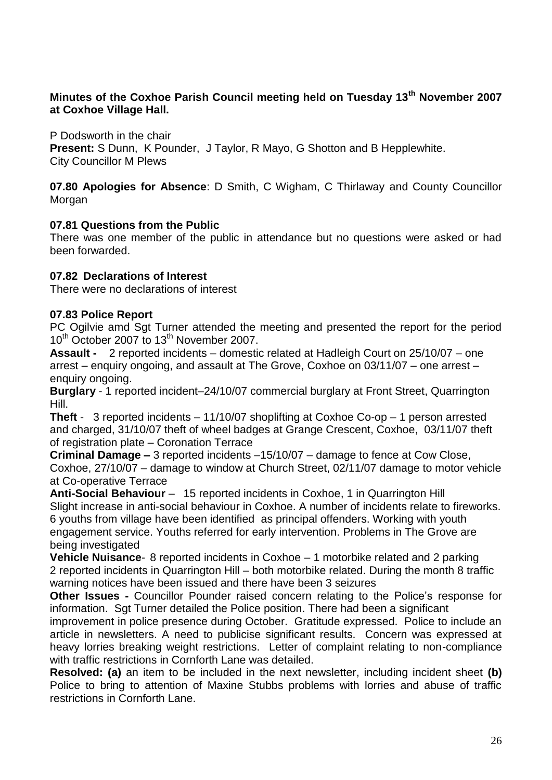# **Minutes of the Coxhoe Parish Council meeting held on Tuesday 13th November 2007 at Coxhoe Village Hall.**

P Dodsworth in the chair **Present:** S Dunn, K Pounder, J Taylor, R Mayo, G Shotton and B Hepplewhite. City Councillor M Plews

**07.80 Apologies for Absence**: D Smith, C Wigham, C Thirlaway and County Councillor Morgan

# **07.81 Questions from the Public**

There was one member of the public in attendance but no questions were asked or had been forwarded.

### **07.82 Declarations of Interest**

There were no declarations of interest

#### **07.83 Police Report**

PC Ogilvie amd Sgt Turner attended the meeting and presented the report for the period 10<sup>th</sup> October 2007 to 13<sup>th</sup> November 2007.

**Assault -** 2 reported incidents – domestic related at Hadleigh Court on 25/10/07 – one arrest – enquiry ongoing, and assault at The Grove, Coxhoe on 03/11/07 – one arrest – enquiry ongoing.

**Burglary** - 1 reported incident–24/10/07 commercial burglary at Front Street, Quarrington Hill.

**Theft** - 3 reported incidents – 11/10/07 shoplifting at Coxhoe Co-op – 1 person arrested and charged, 31/10/07 theft of wheel badges at Grange Crescent, Coxhoe, 03/11/07 theft of registration plate – Coronation Terrace

**Criminal Damage –** 3 reported incidents –15/10/07 – damage to fence at Cow Close, Coxhoe, 27/10/07 – damage to window at Church Street, 02/11/07 damage to motor vehicle at Co-operative Terrace

**Anti-Social Behaviour** – 15 reported incidents in Coxhoe, 1 in Quarrington Hill Slight increase in anti-social behaviour in Coxhoe. A number of incidents relate to fireworks. 6 youths from village have been identified as principal offenders. Working with youth engagement service. Youths referred for early intervention. Problems in The Grove are being investigated

**Vehicle Nuisance**- 8 reported incidents in Coxhoe – 1 motorbike related and 2 parking 2 reported incidents in Quarrington Hill – both motorbike related. During the month 8 traffic warning notices have been issued and there have been 3 seizures

**Other Issues -** Councillor Pounder raised concern relating to the Police's response for information. Sgt Turner detailed the Police position. There had been a significant

improvement in police presence during October. Gratitude expressed. Police to include an article in newsletters. A need to publicise significant results. Concern was expressed at heavy lorries breaking weight restrictions. Letter of complaint relating to non-compliance with traffic restrictions in Cornforth Lane was detailed.

**Resolved: (a)** an item to be included in the next newsletter, including incident sheet **(b)** Police to bring to attention of Maxine Stubbs problems with lorries and abuse of traffic restrictions in Cornforth Lane.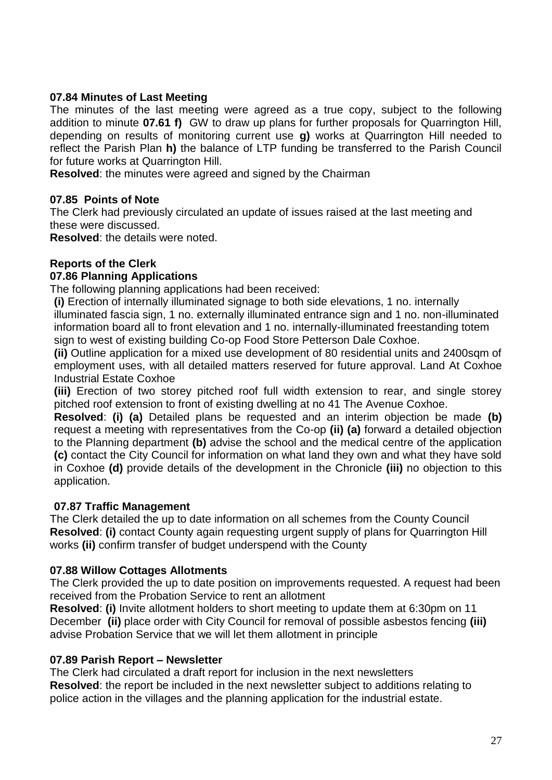### **07.84 Minutes of Last Meeting**

The minutes of the last meeting were agreed as a true copy, subject to the following addition to minute **07.61 f)** GW to draw up plans for further proposals for Quarrington Hill, depending on results of monitoring current use **g)** works at Quarrington Hill needed to reflect the Parish Plan **h)** the balance of LTP funding be transferred to the Parish Council for future works at Quarrington Hill.

**Resolved**: the minutes were agreed and signed by the Chairman

#### **07.85 Points of Note**

The Clerk had previously circulated an update of issues raised at the last meeting and these were discussed.

**Resolved**: the details were noted.

### **Reports of the Clerk**

#### **07.86 Planning Applications**

The following planning applications had been received:

**(i)** Erection of internally illuminated signage to both side elevations, 1 no. internally illuminated fascia sign, 1 no. externally illuminated entrance sign and 1 no. non-illuminated information board all to front elevation and 1 no. internally-illuminated freestanding totem sign to west of existing building Co-op Food Store Petterson Dale Coxhoe.

**(ii)** Outline application for a mixed use development of 80 residential units and 2400sqm of employment uses, with all detailed matters reserved for future approval. Land At Coxhoe Industrial Estate Coxhoe

**(iii)** Erection of two storey pitched roof full width extension to rear, and single storey pitched roof extension to front of existing dwelling at no 41 The Avenue Coxhoe.

**Resolved**: **(i) (a)** Detailed plans be requested and an interim objection be made **(b)** request a meeting with representatives from the Co-op **(ii) (a)** forward a detailed objection to the Planning department **(b)** advise the school and the medical centre of the application **(c)** contact the City Council for information on what land they own and what they have sold in Coxhoe **(d)** provide details of the development in the Chronicle **(iii)** no objection to this application.

#### **07.87 Traffic Management**

The Clerk detailed the up to date information on all schemes from the County Council **Resolved**: **(i)** contact County again requesting urgent supply of plans for Quarrington Hill works **(ii)** confirm transfer of budget underspend with the County

#### **07.88 Willow Cottages Allotments**

The Clerk provided the up to date position on improvements requested. A request had been received from the Probation Service to rent an allotment

**Resolved**: **(i)** Invite allotment holders to short meeting to update them at 6:30pm on 11 December **(ii)** place order with City Council for removal of possible asbestos fencing **(iii)** advise Probation Service that we will let them allotment in principle

#### **07.89 Parish Report – Newsletter**

The Clerk had circulated a draft report for inclusion in the next newsletters **Resolved**: the report be included in the next newsletter subject to additions relating to police action in the villages and the planning application for the industrial estate.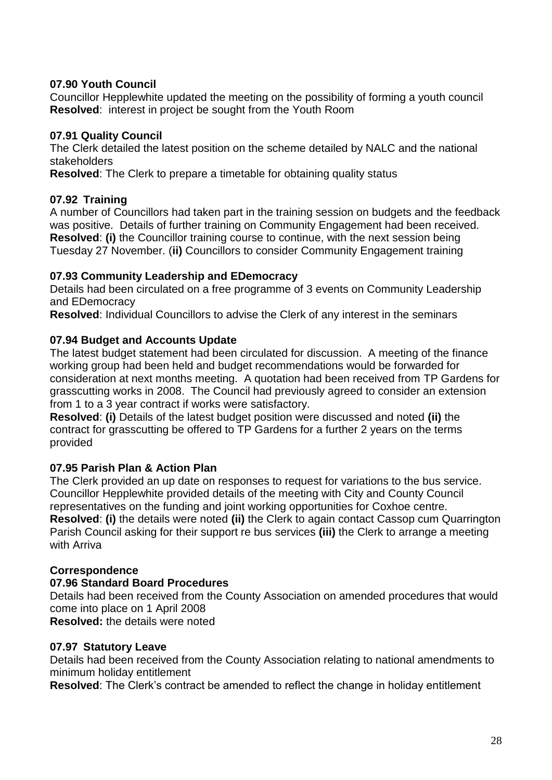# **07.90 Youth Council**

Councillor Hepplewhite updated the meeting on the possibility of forming a youth council **Resolved**: interest in project be sought from the Youth Room

### **07.91 Quality Council**

The Clerk detailed the latest position on the scheme detailed by NALC and the national stakeholders

**Resolved**: The Clerk to prepare a timetable for obtaining quality status

#### **07.92 Training**

A number of Councillors had taken part in the training session on budgets and the feedback was positive. Details of further training on Community Engagement had been received. **Resolved**: **(i)** the Councillor training course to continue, with the next session being Tuesday 27 November. (**ii)** Councillors to consider Community Engagement training

### **07.93 Community Leadership and EDemocracy**

Details had been circulated on a free programme of 3 events on Community Leadership and EDemocracy

**Resolved**: Individual Councillors to advise the Clerk of any interest in the seminars

### **07.94 Budget and Accounts Update**

The latest budget statement had been circulated for discussion. A meeting of the finance working group had been held and budget recommendations would be forwarded for consideration at next months meeting. A quotation had been received from TP Gardens for grasscutting works in 2008. The Council had previously agreed to consider an extension from 1 to a 3 year contract if works were satisfactory.

**Resolved**: **(i)** Details of the latest budget position were discussed and noted **(ii)** the contract for grasscutting be offered to TP Gardens for a further 2 years on the terms provided

# **07.95 Parish Plan & Action Plan**

The Clerk provided an up date on responses to request for variations to the bus service. Councillor Hepplewhite provided details of the meeting with City and County Council representatives on the funding and joint working opportunities for Coxhoe centre. **Resolved**: **(i)** the details were noted **(ii)** the Clerk to again contact Cassop cum Quarrington Parish Council asking for their support re bus services **(iii)** the Clerk to arrange a meeting with Arriva

# **Correspondence**

# **07.96 Standard Board Procedures**

Details had been received from the County Association on amended procedures that would come into place on 1 April 2008

**Resolved:** the details were noted

#### **07.97 Statutory Leave**

Details had been received from the County Association relating to national amendments to minimum holiday entitlement

**Resolved**: The Clerk's contract be amended to reflect the change in holiday entitlement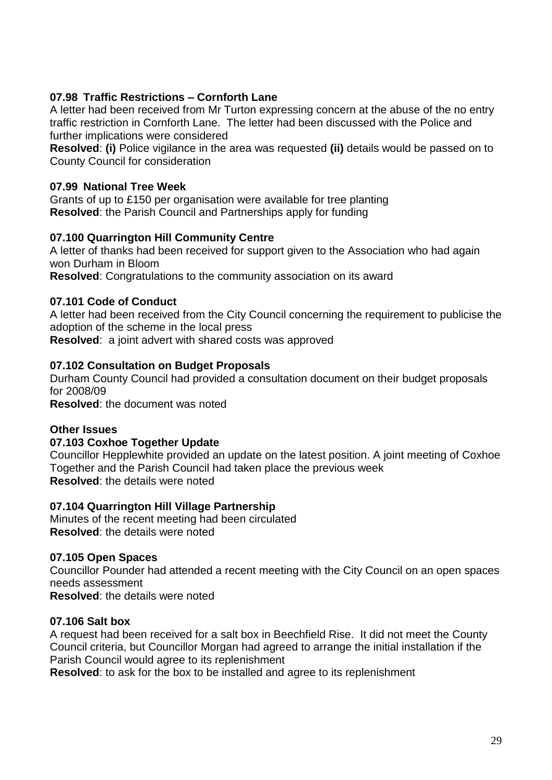# **07.98 Traffic Restrictions – Cornforth Lane**

A letter had been received from Mr Turton expressing concern at the abuse of the no entry traffic restriction in Cornforth Lane. The letter had been discussed with the Police and further implications were considered

**Resolved**: **(i)** Police vigilance in the area was requested **(ii)** details would be passed on to County Council for consideration

# **07.99 National Tree Week**

Grants of up to £150 per organisation were available for tree planting **Resolved**: the Parish Council and Partnerships apply for funding

### **07.100 Quarrington Hill Community Centre**

A letter of thanks had been received for support given to the Association who had again won Durham in Bloom

**Resolved**: Congratulations to the community association on its award

### **07.101 Code of Conduct**

A letter had been received from the City Council concerning the requirement to publicise the adoption of the scheme in the local press **Resolved**: a joint advert with shared costs was approved

### **07.102 Consultation on Budget Proposals**

Durham County Council had provided a consultation document on their budget proposals for 2008/09 **Resolved**: the document was noted

#### **Other Issues**

# **07.103 Coxhoe Together Update**

Councillor Hepplewhite provided an update on the latest position. A joint meeting of Coxhoe Together and the Parish Council had taken place the previous week **Resolved**: the details were noted

#### **07.104 Quarrington Hill Village Partnership**

Minutes of the recent meeting had been circulated **Resolved**: the details were noted

#### **07.105 Open Spaces**

Councillor Pounder had attended a recent meeting with the City Council on an open spaces needs assessment

**Resolved**: the details were noted

#### **07.106 Salt box**

A request had been received for a salt box in Beechfield Rise. It did not meet the County Council criteria, but Councillor Morgan had agreed to arrange the initial installation if the Parish Council would agree to its replenishment

**Resolved**: to ask for the box to be installed and agree to its replenishment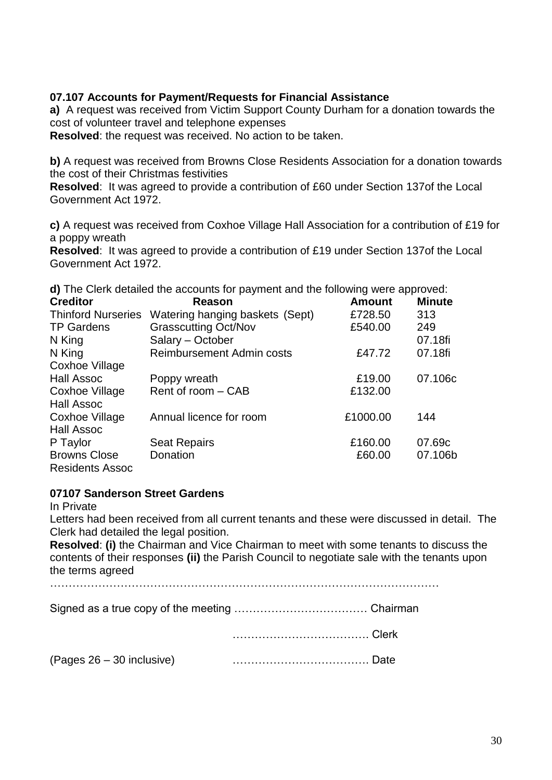### **07.107 Accounts for Payment/Requests for Financial Assistance**

**a)** A request was received from Victim Support County Durham for a donation towards the cost of volunteer travel and telephone expenses

**Resolved**: the request was received. No action to be taken.

**b)** A request was received from Browns Close Residents Association for a donation towards the cost of their Christmas festivities

**Resolved**: It was agreed to provide a contribution of £60 under Section 137of the Local Government Act 1972.

**c)** A request was received from Coxhoe Village Hall Association for a contribution of £19 for a poppy wreath

**Resolved**: It was agreed to provide a contribution of £19 under Section 137of the Local Government Act 1972.

**d)** The Clerk detailed the accounts for payment and the following were approved:

| <b>Creditor</b>                            | <b>Reason</b>                    | <b>Amount</b> | <b>Minute</b> |
|--------------------------------------------|----------------------------------|---------------|---------------|
| <b>Thinford Nurseries</b>                  | Watering hanging baskets (Sept)  | £728.50       | 313           |
| <b>TP Gardens</b>                          | <b>Grasscutting Oct/Nov</b>      | £540.00       | 249           |
| N King                                     | Salary - October                 |               | 07.18fi       |
| N King                                     | <b>Reimbursement Admin costs</b> | £47.72        | 07.18fi       |
| <b>Coxhoe Village</b>                      |                                  |               |               |
| <b>Hall Assoc</b>                          | Poppy wreath                     | £19.00        | 07.106c       |
| <b>Coxhoe Village</b><br><b>Hall Assoc</b> | Rent of room - CAB               | £132.00       |               |
| <b>Coxhoe Village</b><br><b>Hall Assoc</b> | Annual licence for room          | £1000.00      | 144           |
| P Taylor                                   | <b>Seat Repairs</b>              | £160.00       | 07.69c        |
| <b>Browns Close</b><br>Residents Assoc     | Donation                         | £60.00        | 07.106b       |

#### **07107 Sanderson Street Gardens**

In Private

Letters had been received from all current tenants and these were discussed in detail. The Clerk had detailed the legal position.

**Resolved**: **(i)** the Chairman and Vice Chairman to meet with some tenants to discuss the contents of their responses **(ii)** the Parish Council to negotiate sale with the tenants upon the terms agreed

……………………………………………………………………………………………

Signed as a true copy of the meeting ……………………………… Chairman

………………………………. Clerk

(Pages 26 – 30 inclusive) ………………………………. Date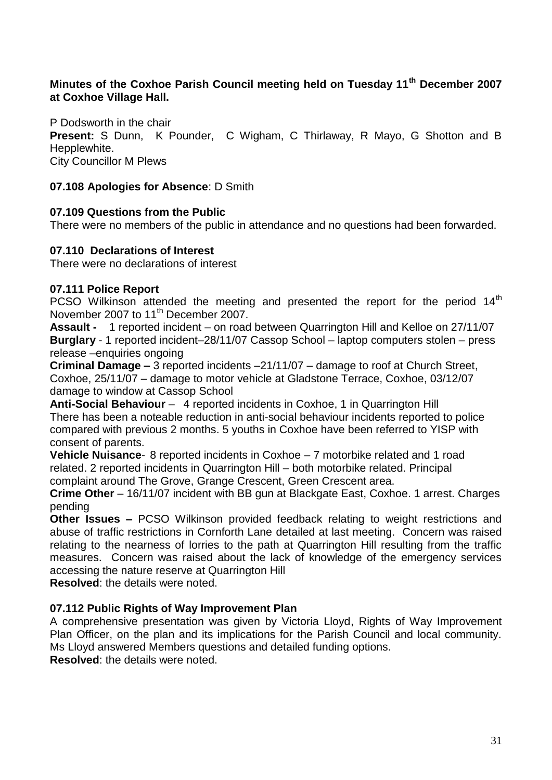# **Minutes of the Coxhoe Parish Council meeting held on Tuesday 11th December 2007 at Coxhoe Village Hall.**

P Dodsworth in the chair **Present:** S Dunn, K Pounder, C Wigham, C Thirlaway, R Mayo, G Shotton and B Hepplewhite. City Councillor M Plews

#### **07.108 Apologies for Absence**: D Smith

### **07.109 Questions from the Public**

There were no members of the public in attendance and no questions had been forwarded.

### **07.110 Declarations of Interest**

There were no declarations of interest

### **07.111 Police Report**

PCSO Wilkinson attended the meeting and presented the report for the period  $14<sup>th</sup>$ November 2007 to 11<sup>th</sup> December 2007.

**Assault -** 1 reported incident – on road between Quarrington Hill and Kelloe on 27/11/07 **Burglary** - 1 reported incident–28/11/07 Cassop School – laptop computers stolen – press release –enquiries ongoing

**Criminal Damage –** 3 reported incidents –21/11/07 – damage to roof at Church Street, Coxhoe, 25/11/07 – damage to motor vehicle at Gladstone Terrace, Coxhoe, 03/12/07 damage to window at Cassop School

**Anti-Social Behaviour** – 4 reported incidents in Coxhoe, 1 in Quarrington Hill There has been a noteable reduction in anti-social behaviour incidents reported to police compared with previous 2 months. 5 youths in Coxhoe have been referred to YISP with consent of parents.

**Vehicle Nuisance**- 8 reported incidents in Coxhoe – 7 motorbike related and 1 road related. 2 reported incidents in Quarrington Hill – both motorbike related. Principal complaint around The Grove, Grange Crescent, Green Crescent area.

**Crime Other** – 16/11/07 incident with BB gun at Blackgate East, Coxhoe. 1 arrest. Charges pending

**Other Issues –** PCSO Wilkinson provided feedback relating to weight restrictions and abuse of traffic restrictions in Cornforth Lane detailed at last meeting. Concern was raised relating to the nearness of lorries to the path at Quarrington Hill resulting from the traffic measures. Concern was raised about the lack of knowledge of the emergency services accessing the nature reserve at Quarrington Hill

**Resolved**: the details were noted.

#### **07.112 Public Rights of Way Improvement Plan**

A comprehensive presentation was given by Victoria Lloyd, Rights of Way Improvement Plan Officer, on the plan and its implications for the Parish Council and local community. Ms Lloyd answered Members questions and detailed funding options.

**Resolved**: the details were noted.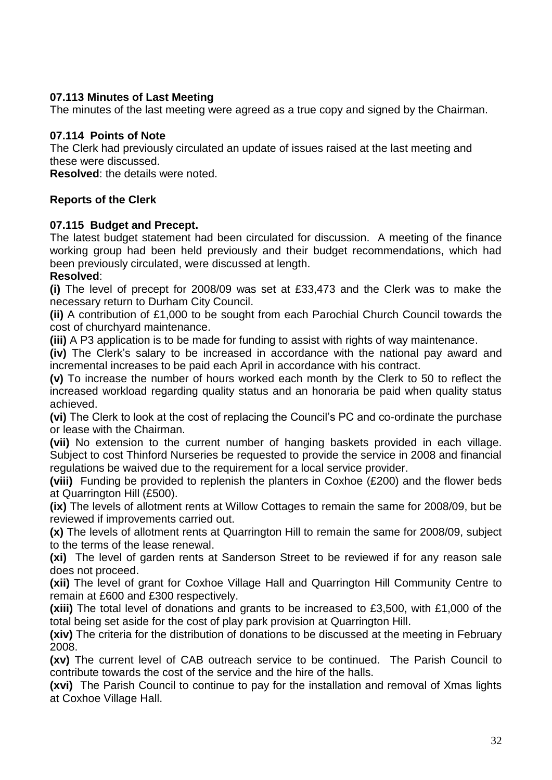# **07.113 Minutes of Last Meeting**

The minutes of the last meeting were agreed as a true copy and signed by the Chairman.

### **07.114 Points of Note**

The Clerk had previously circulated an update of issues raised at the last meeting and these were discussed.

**Resolved**: the details were noted.

### **Reports of the Clerk**

### **07.115 Budget and Precept.**

The latest budget statement had been circulated for discussion. A meeting of the finance working group had been held previously and their budget recommendations, which had been previously circulated, were discussed at length.

### **Resolved**:

**(i)** The level of precept for 2008/09 was set at £33,473 and the Clerk was to make the necessary return to Durham City Council.

**(ii)** A contribution of £1,000 to be sought from each Parochial Church Council towards the cost of churchyard maintenance.

**(iii)** A P3 application is to be made for funding to assist with rights of way maintenance.

**(iv)** The Clerk's salary to be increased in accordance with the national pay award and incremental increases to be paid each April in accordance with his contract.

**(v)** To increase the number of hours worked each month by the Clerk to 50 to reflect the increased workload regarding quality status and an honoraria be paid when quality status achieved.

**(vi)** The Clerk to look at the cost of replacing the Council's PC and co-ordinate the purchase or lease with the Chairman.

**(vii)** No extension to the current number of hanging baskets provided in each village. Subject to cost Thinford Nurseries be requested to provide the service in 2008 and financial regulations be waived due to the requirement for a local service provider.

**(viii)** Funding be provided to replenish the planters in Coxhoe (£200) and the flower beds at Quarrington Hill (£500).

**(ix)** The levels of allotment rents at Willow Cottages to remain the same for 2008/09, but be reviewed if improvements carried out.

**(x)** The levels of allotment rents at Quarrington Hill to remain the same for 2008/09, subject to the terms of the lease renewal.

**(xi)** The level of garden rents at Sanderson Street to be reviewed if for any reason sale does not proceed.

**(xii)** The level of grant for Coxhoe Village Hall and Quarrington Hill Community Centre to remain at £600 and £300 respectively.

**(xiii)** The total level of donations and grants to be increased to £3,500, with £1,000 of the total being set aside for the cost of play park provision at Quarrington Hill.

**(xiv)** The criteria for the distribution of donations to be discussed at the meeting in February 2008.

**(xv)** The current level of CAB outreach service to be continued. The Parish Council to contribute towards the cost of the service and the hire of the halls.

**(xvi)** The Parish Council to continue to pay for the installation and removal of Xmas lights at Coxhoe Village Hall.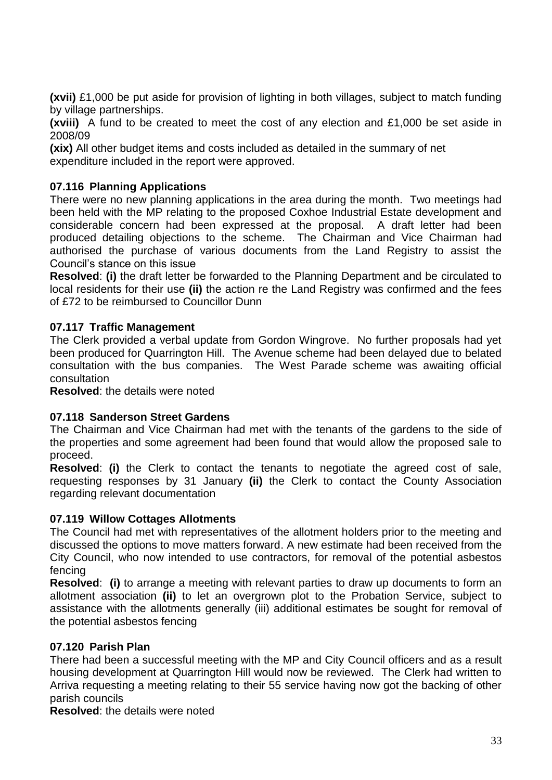**(xvii)** £1,000 be put aside for provision of lighting in both villages, subject to match funding by village partnerships.

**(xviii)** A fund to be created to meet the cost of any election and £1,000 be set aside in 2008/09

**(xix)** All other budget items and costs included as detailed in the summary of net expenditure included in the report were approved.

# **07.116 Planning Applications**

There were no new planning applications in the area during the month. Two meetings had been held with the MP relating to the proposed Coxhoe Industrial Estate development and considerable concern had been expressed at the proposal. A draft letter had been produced detailing objections to the scheme. The Chairman and Vice Chairman had authorised the purchase of various documents from the Land Registry to assist the Council's stance on this issue

**Resolved**: **(i)** the draft letter be forwarded to the Planning Department and be circulated to local residents for their use **(ii)** the action re the Land Registry was confirmed and the fees of £72 to be reimbursed to Councillor Dunn

#### **07.117 Traffic Management**

The Clerk provided a verbal update from Gordon Wingrove. No further proposals had yet been produced for Quarrington Hill. The Avenue scheme had been delayed due to belated consultation with the bus companies. The West Parade scheme was awaiting official consultation

**Resolved**: the details were noted

#### **07.118 Sanderson Street Gardens**

The Chairman and Vice Chairman had met with the tenants of the gardens to the side of the properties and some agreement had been found that would allow the proposed sale to proceed.

**Resolved**: **(i)** the Clerk to contact the tenants to negotiate the agreed cost of sale, requesting responses by 31 January **(ii)** the Clerk to contact the County Association regarding relevant documentation

#### **07.119 Willow Cottages Allotments**

The Council had met with representatives of the allotment holders prior to the meeting and discussed the options to move matters forward. A new estimate had been received from the City Council, who now intended to use contractors, for removal of the potential asbestos fencing

**Resolved**: **(i)** to arrange a meeting with relevant parties to draw up documents to form an allotment association **(ii)** to let an overgrown plot to the Probation Service, subject to assistance with the allotments generally (iii) additional estimates be sought for removal of the potential asbestos fencing

#### **07.120 Parish Plan**

There had been a successful meeting with the MP and City Council officers and as a result housing development at Quarrington Hill would now be reviewed. The Clerk had written to Arriva requesting a meeting relating to their 55 service having now got the backing of other parish councils

**Resolved**: the details were noted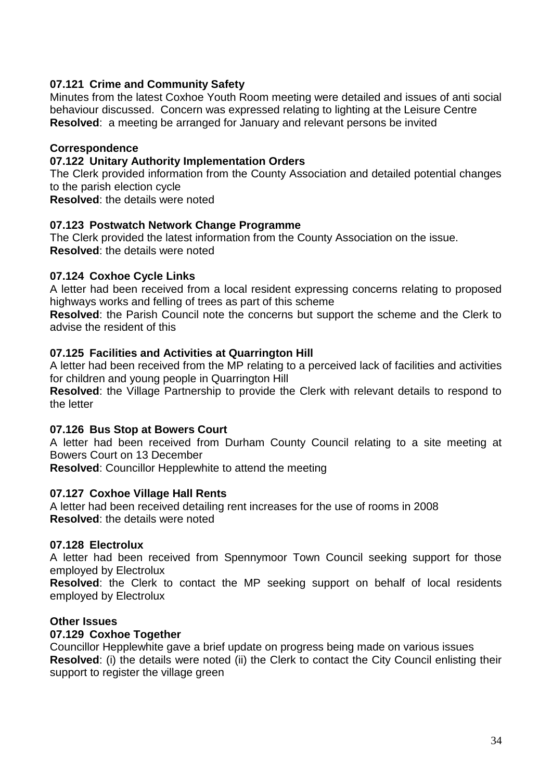# **07.121 Crime and Community Safety**

Minutes from the latest Coxhoe Youth Room meeting were detailed and issues of anti social behaviour discussed. Concern was expressed relating to lighting at the Leisure Centre **Resolved**: a meeting be arranged for January and relevant persons be invited

### **Correspondence**

#### **07.122 Unitary Authority Implementation Orders**

The Clerk provided information from the County Association and detailed potential changes to the parish election cycle

**Resolved**: the details were noted

### **07.123 Postwatch Network Change Programme**

The Clerk provided the latest information from the County Association on the issue. **Resolved**: the details were noted

### **07.124 Coxhoe Cycle Links**

A letter had been received from a local resident expressing concerns relating to proposed highways works and felling of trees as part of this scheme

**Resolved**: the Parish Council note the concerns but support the scheme and the Clerk to advise the resident of this

#### **07.125 Facilities and Activities at Quarrington Hill**

A letter had been received from the MP relating to a perceived lack of facilities and activities for children and young people in Quarrington Hill

**Resolved**: the Village Partnership to provide the Clerk with relevant details to respond to the letter

#### **07.126 Bus Stop at Bowers Court**

A letter had been received from Durham County Council relating to a site meeting at Bowers Court on 13 December

**Resolved**: Councillor Hepplewhite to attend the meeting

#### **07.127 Coxhoe Village Hall Rents**

A letter had been received detailing rent increases for the use of rooms in 2008 **Resolved**: the details were noted

#### **07.128 Electrolux**

A letter had been received from Spennymoor Town Council seeking support for those employed by Electrolux

**Resolved**: the Clerk to contact the MP seeking support on behalf of local residents employed by Electrolux

#### **Other Issues**

#### **07.129 Coxhoe Together**

Councillor Hepplewhite gave a brief update on progress being made on various issues **Resolved**: (i) the details were noted (ii) the Clerk to contact the City Council enlisting their support to register the village green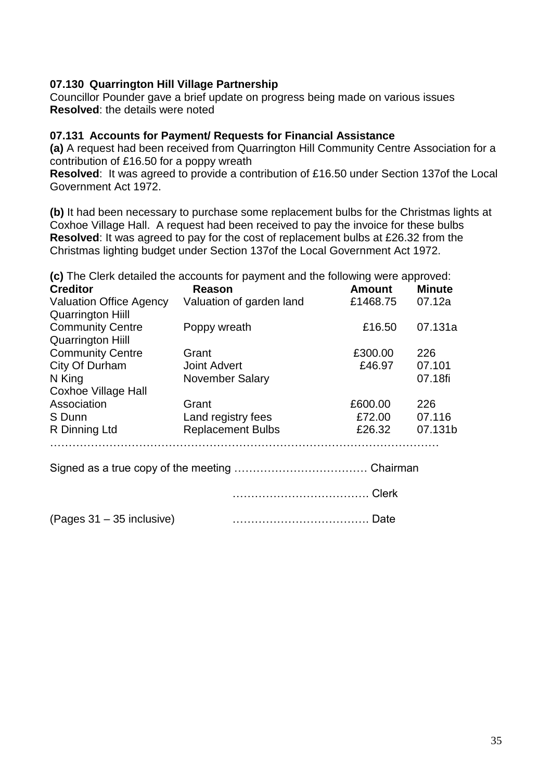# **07.130 Quarrington Hill Village Partnership**

Councillor Pounder gave a brief update on progress being made on various issues **Resolved**: the details were noted

#### **07.131 Accounts for Payment/ Requests for Financial Assistance**

**(a)** A request had been received from Quarrington Hill Community Centre Association for a contribution of £16.50 for a poppy wreath

**Resolved**: It was agreed to provide a contribution of £16.50 under Section 137of the Local Government Act 1972.

**(b)** It had been necessary to purchase some replacement bulbs for the Christmas lights at Coxhoe Village Hall. A request had been received to pay the invoice for these bulbs **Resolved**: It was agreed to pay for the cost of replacement bulbs at £26.32 from the Christmas lighting budget under Section 137of the Local Government Act 1972.

**(c)** The Clerk detailed the accounts for payment and the following were approved:

| <b>Creditor</b>                | Reason                   | <b>Amount</b> | <b>Minute</b> |
|--------------------------------|--------------------------|---------------|---------------|
| <b>Valuation Office Agency</b> | Valuation of garden land | £1468.75      | 07.12a        |
| <b>Quarrington Hill</b>        |                          |               |               |
| <b>Community Centre</b>        | Poppy wreath             | £16.50        | 07.131a       |
| <b>Quarrington Hill</b>        |                          |               |               |
| <b>Community Centre</b>        | Grant                    | £300.00       | 226           |
| City Of Durham                 | <b>Joint Advert</b>      | £46.97        | 07.101        |
| N King                         | <b>November Salary</b>   |               | 07.18fi       |
| Coxhoe Village Hall            |                          |               |               |
| Association                    | Grant                    | £600.00       | 226           |
| S Dunn                         | Land registry fees       | £72.00        | 07.116        |
| R Dinning Ltd                  | <b>Replacement Bulbs</b> | £26.32        | 07.131b       |
|                                |                          |               |               |
|                                |                          |               |               |
|                                |                          |               |               |
|                                |                          |               |               |

(Pages 31 – 35 inclusive) ………………………………. Date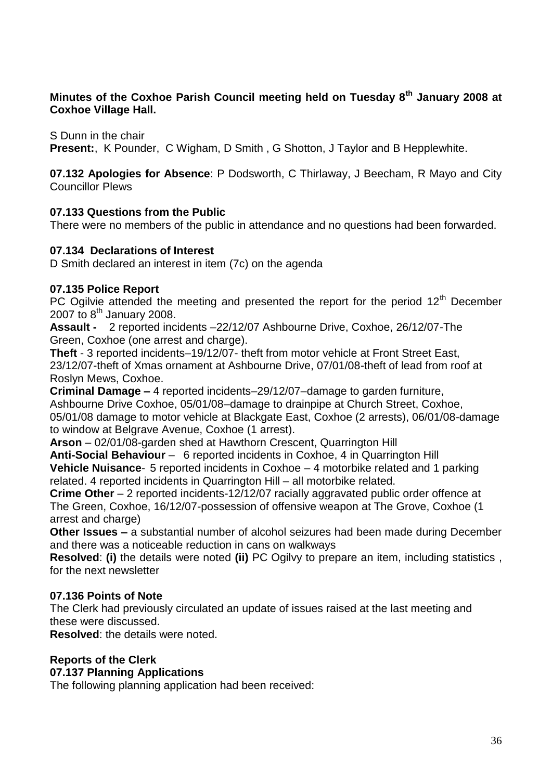### **Minutes of the Coxhoe Parish Council meeting held on Tuesday 8th January 2008 at Coxhoe Village Hall.**

S Dunn in the chair

**Present:**, K Pounder, C Wigham, D Smith , G Shotton, J Taylor and B Hepplewhite.

**07.132 Apologies for Absence**: P Dodsworth, C Thirlaway, J Beecham, R Mayo and City Councillor Plews

### **07.133 Questions from the Public**

There were no members of the public in attendance and no questions had been forwarded.

### **07.134 Declarations of Interest**

D Smith declared an interest in item (7c) on the agenda

### **07.135 Police Report**

PC Ogilvie attended the meeting and presented the report for the period  $12<sup>th</sup>$  December 2007 to  $8<sup>th</sup>$  January 2008.

**Assault -** 2 reported incidents –22/12/07 Ashbourne Drive, Coxhoe, 26/12/07-The Green, Coxhoe (one arrest and charge).

**Theft** - 3 reported incidents–19/12/07- theft from motor vehicle at Front Street East, 23/12/07-theft of Xmas ornament at Ashbourne Drive, 07/01/08-theft of lead from roof at Roslyn Mews, Coxhoe.

**Criminal Damage –** 4 reported incidents–29/12/07–damage to garden furniture, Ashbourne Drive Coxhoe, 05/01/08–damage to drainpipe at Church Street, Coxhoe, 05/01/08 damage to motor vehicle at Blackgate East, Coxhoe (2 arrests), 06/01/08-damage to window at Belgrave Avenue, Coxhoe (1 arrest).

**Arson** – 02/01/08-garden shed at Hawthorn Crescent, Quarrington Hill

**Anti-Social Behaviour** – 6 reported incidents in Coxhoe, 4 in Quarrington Hill **Vehicle Nuisance**- 5 reported incidents in Coxhoe – 4 motorbike related and 1 parking related. 4 reported incidents in Quarrington Hill – all motorbike related.

**Crime Other** – 2 reported incidents-12/12/07 racially aggravated public order offence at The Green, Coxhoe, 16/12/07-possession of offensive weapon at The Grove, Coxhoe (1 arrest and charge)

**Other Issues –** a substantial number of alcohol seizures had been made during December and there was a noticeable reduction in cans on walkways

**Resolved**: **(i)** the details were noted **(ii)** PC Ogilvy to prepare an item, including statistics , for the next newsletter

# **07.136 Points of Note**

The Clerk had previously circulated an update of issues raised at the last meeting and these were discussed.

**Resolved**: the details were noted.

# **Reports of the Clerk**

**07.137 Planning Applications**

The following planning application had been received: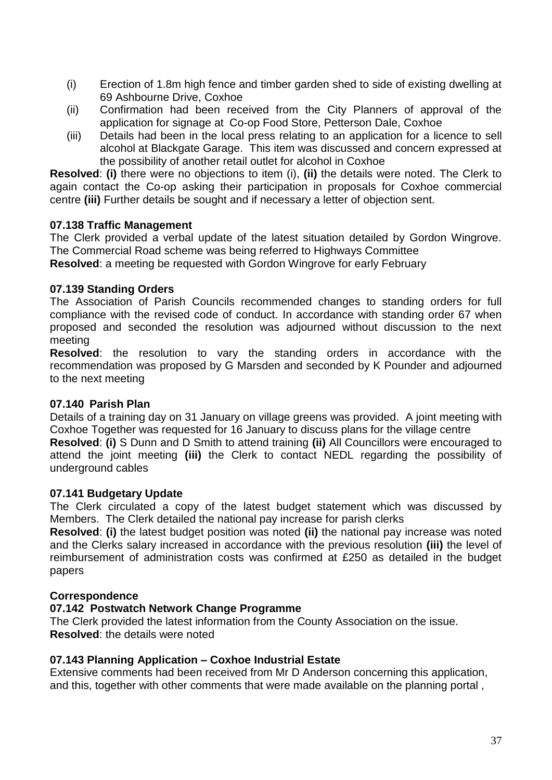- (i) Erection of 1.8m high fence and timber garden shed to side of existing dwelling at 69 Ashbourne Drive, Coxhoe
- (ii) Confirmation had been received from the City Planners of approval of the application for signage at Co-op Food Store, Petterson Dale, Coxhoe
- (iii) Details had been in the local press relating to an application for a licence to sell alcohol at Blackgate Garage. This item was discussed and concern expressed at the possibility of another retail outlet for alcohol in Coxhoe

**Resolved**: **(i)** there were no objections to item (i), **(ii)** the details were noted. The Clerk to again contact the Co-op asking their participation in proposals for Coxhoe commercial centre **(iii)** Further details be sought and if necessary a letter of objection sent.

# **07.138 Traffic Management**

The Clerk provided a verbal update of the latest situation detailed by Gordon Wingrove. The Commercial Road scheme was being referred to Highways Committee

**Resolved**: a meeting be requested with Gordon Wingrove for early February

# **07.139 Standing Orders**

The Association of Parish Councils recommended changes to standing orders for full compliance with the revised code of conduct. In accordance with standing order 67 when proposed and seconded the resolution was adjourned without discussion to the next meeting

**Resolved**: the resolution to vary the standing orders in accordance with the recommendation was proposed by G Marsden and seconded by K Pounder and adjourned to the next meeting

# **07.140 Parish Plan**

Details of a training day on 31 January on village greens was provided. A joint meeting with Coxhoe Together was requested for 16 January to discuss plans for the village centre

**Resolved**: **(i)** S Dunn and D Smith to attend training **(ii)** All Councillors were encouraged to attend the joint meeting **(iii)** the Clerk to contact NEDL regarding the possibility of underground cables

# **07.141 Budgetary Update**

The Clerk circulated a copy of the latest budget statement which was discussed by Members. The Clerk detailed the national pay increase for parish clerks

**Resolved**: **(i)** the latest budget position was noted **(ii)** the national pay increase was noted and the Clerks salary increased in accordance with the previous resolution **(iii)** the level of reimbursement of administration costs was confirmed at £250 as detailed in the budget papers

# **Correspondence**

# **07.142 Postwatch Network Change Programme**

The Clerk provided the latest information from the County Association on the issue. **Resolved**: the details were noted

# **07.143 Planning Application – Coxhoe Industrial Estate**

Extensive comments had been received from Mr D Anderson concerning this application, and this, together with other comments that were made available on the planning portal ,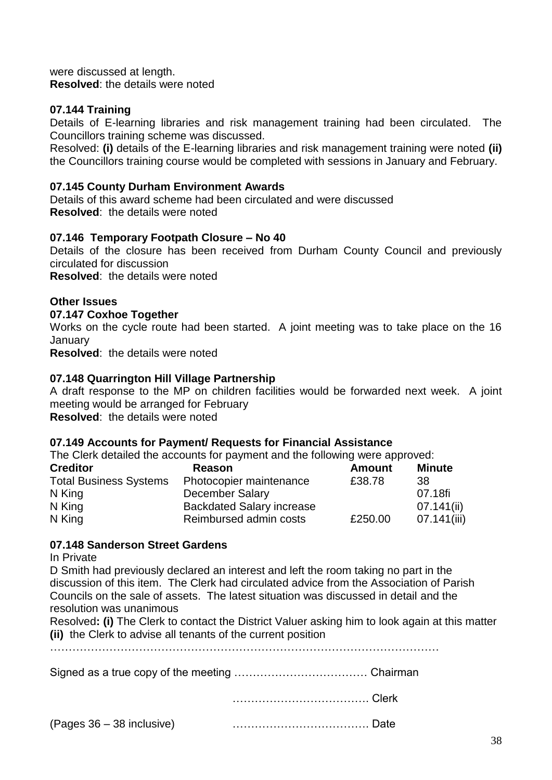were discussed at length. **Resolved**: the details were noted

### **07.144 Training**

Details of E-learning libraries and risk management training had been circulated. The Councillors training scheme was discussed.

Resolved: **(i)** details of the E-learning libraries and risk management training were noted **(ii)** the Councillors training course would be completed with sessions in January and February.

#### **07.145 County Durham Environment Awards**

Details of this award scheme had been circulated and were discussed **Resolved**: the details were noted

#### **07.146 Temporary Footpath Closure – No 40**

Details of the closure has been received from Durham County Council and previously circulated for discussion

**Resolved**: the details were noted

#### **Other Issues**

#### **07.147 Coxhoe Together**

Works on the cycle route had been started. A joint meeting was to take place on the 16 January

**Resolved**: the details were noted

#### **07.148 Quarrington Hill Village Partnership**

A draft response to the MP on children facilities would be forwarded next week. A joint meeting would be arranged for February

**Resolved**: the details were noted

#### **07.149 Accounts for Payment/ Requests for Financial Assistance**

The Clerk detailed the accounts for payment and the following were approved:

| <b>Creditor</b>               | <b>Reason</b>                    | <b>Amount</b> | <b>Minute</b> |
|-------------------------------|----------------------------------|---------------|---------------|
| <b>Total Business Systems</b> | Photocopier maintenance          | £38.78        | -38           |
| N King                        | December Salary                  |               | 07.18fi       |
| N King                        | <b>Backdated Salary increase</b> |               | 07.141(i)     |
| N King                        | Reimbursed admin costs           | £250.00       | 07.141(iii)   |

#### **07.148 Sanderson Street Gardens**

#### In Private

D Smith had previously declared an interest and left the room taking no part in the discussion of this item. The Clerk had circulated advice from the Association of Parish Councils on the sale of assets. The latest situation was discussed in detail and the resolution was unanimous

Resolved**: (i)** The Clerk to contact the District Valuer asking him to look again at this matter **(ii)** the Clerk to advise all tenants of the current position

……………………………………………………………………………………………

Signed as a true copy of the meeting ……………………………… Chairman

………………………………. Clerk

(Pages 36 – 38 inclusive) ………………………………. Date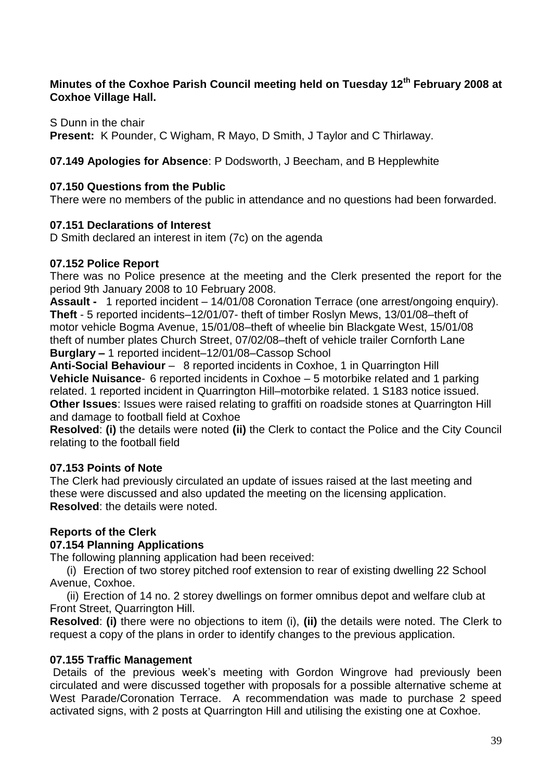# **Minutes of the Coxhoe Parish Council meeting held on Tuesday 12th February 2008 at Coxhoe Village Hall.**

S Dunn in the chair **Present:** K Pounder, C Wigham, R Mayo, D Smith, J Taylor and C Thirlaway.

# **07.149 Apologies for Absence**: P Dodsworth, J Beecham, and B Hepplewhite

### **07.150 Questions from the Public**

There were no members of the public in attendance and no questions had been forwarded.

### **07.151 Declarations of Interest**

D Smith declared an interest in item (7c) on the agenda

### **07.152 Police Report**

There was no Police presence at the meeting and the Clerk presented the report for the period 9th January 2008 to 10 February 2008.

**Assault -** 1 reported incident – 14/01/08 Coronation Terrace (one arrest/ongoing enquiry). **Theft** - 5 reported incidents–12/01/07- theft of timber Roslyn Mews, 13/01/08–theft of motor vehicle Bogma Avenue, 15/01/08–theft of wheelie bin Blackgate West, 15/01/08 theft of number plates Church Street, 07/02/08–theft of vehicle trailer Cornforth Lane **Burglary –** 1 reported incident–12/01/08–Cassop School

**Anti-Social Behaviour** – 8 reported incidents in Coxhoe, 1 in Quarrington Hill **Vehicle Nuisance**- 6 reported incidents in Coxhoe – 5 motorbike related and 1 parking related. 1 reported incident in Quarrington Hill–motorbike related. 1 S183 notice issued. **Other Issues**: Issues were raised relating to graffiti on roadside stones at Quarrington Hill and damage to football field at Coxhoe

**Resolved**: **(i)** the details were noted **(ii)** the Clerk to contact the Police and the City Council relating to the football field

# **07.153 Points of Note**

The Clerk had previously circulated an update of issues raised at the last meeting and these were discussed and also updated the meeting on the licensing application. **Resolved**: the details were noted.

# **Reports of the Clerk**

#### **07.154 Planning Applications**

The following planning application had been received:

(i) Erection of two storey pitched roof extension to rear of existing dwelling 22 School Avenue, Coxhoe.

(ii) Erection of 14 no. 2 storey dwellings on former omnibus depot and welfare club at Front Street, Quarrington Hill.

**Resolved**: **(i)** there were no objections to item (i), **(ii)** the details were noted. The Clerk to request a copy of the plans in order to identify changes to the previous application.

#### **07.155 Traffic Management**

Details of the previous week's meeting with Gordon Wingrove had previously been circulated and were discussed together with proposals for a possible alternative scheme at West Parade/Coronation Terrace. A recommendation was made to purchase 2 speed activated signs, with 2 posts at Quarrington Hill and utilising the existing one at Coxhoe.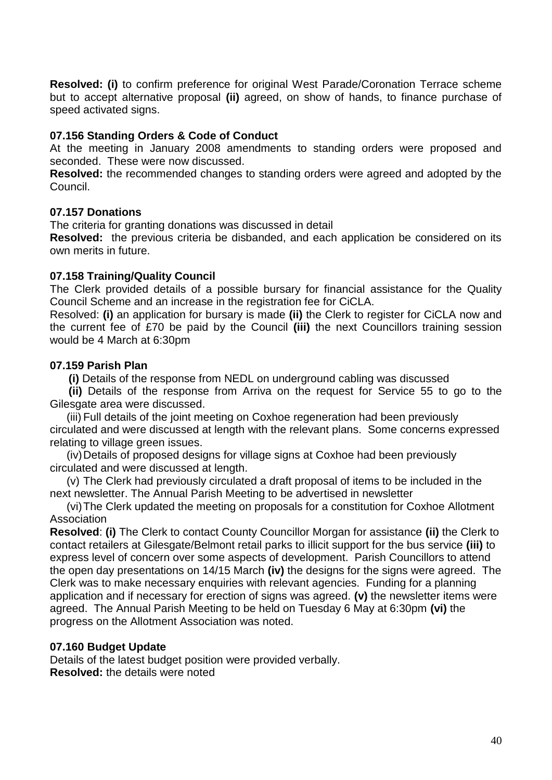**Resolved: (i)** to confirm preference for original West Parade/Coronation Terrace scheme but to accept alternative proposal **(ii)** agreed, on show of hands, to finance purchase of speed activated signs.

#### **07.156 Standing Orders & Code of Conduct**

At the meeting in January 2008 amendments to standing orders were proposed and seconded. These were now discussed.

**Resolved:** the recommended changes to standing orders were agreed and adopted by the Council.

#### **07.157 Donations**

The criteria for granting donations was discussed in detail

**Resolved:** the previous criteria be disbanded, and each application be considered on its own merits in future.

#### **07.158 Training/Quality Council**

The Clerk provided details of a possible bursary for financial assistance for the Quality Council Scheme and an increase in the registration fee for CiCLA.

Resolved: **(i)** an application for bursary is made **(ii)** the Clerk to register for CiCLA now and the current fee of £70 be paid by the Council **(iii)** the next Councillors training session would be 4 March at 6:30pm

#### **07.159 Parish Plan**

**(i)** Details of the response from NEDL on underground cabling was discussed

 **(ii)** Details of the response from Arriva on the request for Service 55 to go to the Gilesgate area were discussed.

(iii) Full details of the joint meeting on Coxhoe regeneration had been previously circulated and were discussed at length with the relevant plans. Some concerns expressed relating to village green issues.

(iv)Details of proposed designs for village signs at Coxhoe had been previously circulated and were discussed at length.

(v) The Clerk had previously circulated a draft proposal of items to be included in the next newsletter. The Annual Parish Meeting to be advertised in newsletter

(vi)The Clerk updated the meeting on proposals for a constitution for Coxhoe Allotment Association

**Resolved**: **(i)** The Clerk to contact County Councillor Morgan for assistance **(ii)** the Clerk to contact retailers at Gilesgate/Belmont retail parks to illicit support for the bus service **(iii)** to express level of concern over some aspects of development. Parish Councillors to attend the open day presentations on 14/15 March **(iv)** the designs for the signs were agreed. The Clerk was to make necessary enquiries with relevant agencies. Funding for a planning application and if necessary for erection of signs was agreed. **(v)** the newsletter items were agreed. The Annual Parish Meeting to be held on Tuesday 6 May at 6:30pm **(vi)** the progress on the Allotment Association was noted.

#### **07.160 Budget Update**

Details of the latest budget position were provided verbally. **Resolved:** the details were noted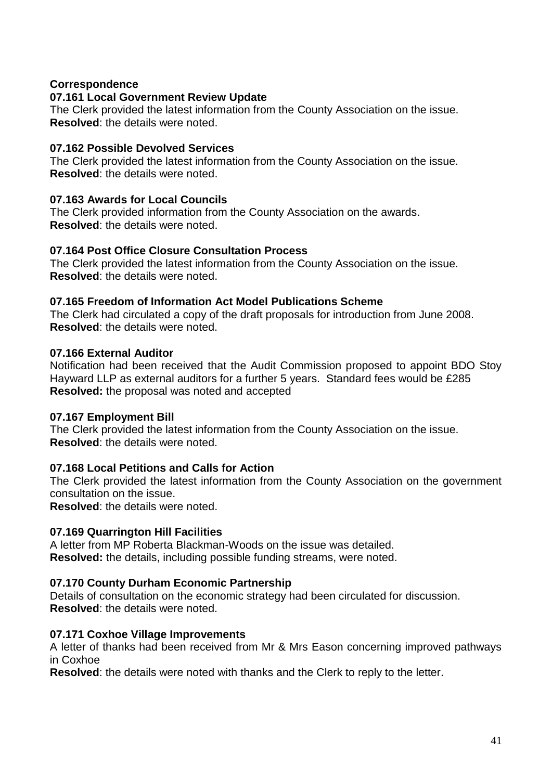### **Correspondence**

#### **07.161 Local Government Review Update**

The Clerk provided the latest information from the County Association on the issue. **Resolved**: the details were noted.

#### **07.162 Possible Devolved Services**

The Clerk provided the latest information from the County Association on the issue. **Resolved**: the details were noted.

#### **07.163 Awards for Local Councils**

The Clerk provided information from the County Association on the awards. **Resolved**: the details were noted.

#### **07.164 Post Office Closure Consultation Process**

The Clerk provided the latest information from the County Association on the issue. **Resolved**: the details were noted.

#### **07.165 Freedom of Information Act Model Publications Scheme**

The Clerk had circulated a copy of the draft proposals for introduction from June 2008. **Resolved**: the details were noted.

#### **07.166 External Auditor**

Notification had been received that the Audit Commission proposed to appoint BDO Stoy Hayward LLP as external auditors for a further 5 years. Standard fees would be £285 **Resolved:** the proposal was noted and accepted

#### **07.167 Employment Bill**

The Clerk provided the latest information from the County Association on the issue. **Resolved**: the details were noted.

#### **07.168 Local Petitions and Calls for Action**

The Clerk provided the latest information from the County Association on the government consultation on the issue.

**Resolved**: the details were noted.

#### **07.169 Quarrington Hill Facilities**

A letter from MP Roberta Blackman-Woods on the issue was detailed. **Resolved:** the details, including possible funding streams, were noted.

#### **07.170 County Durham Economic Partnership**

Details of consultation on the economic strategy had been circulated for discussion. **Resolved**: the details were noted.

#### **07.171 Coxhoe Village Improvements**

A letter of thanks had been received from Mr & Mrs Eason concerning improved pathways in Coxhoe

**Resolved**: the details were noted with thanks and the Clerk to reply to the letter.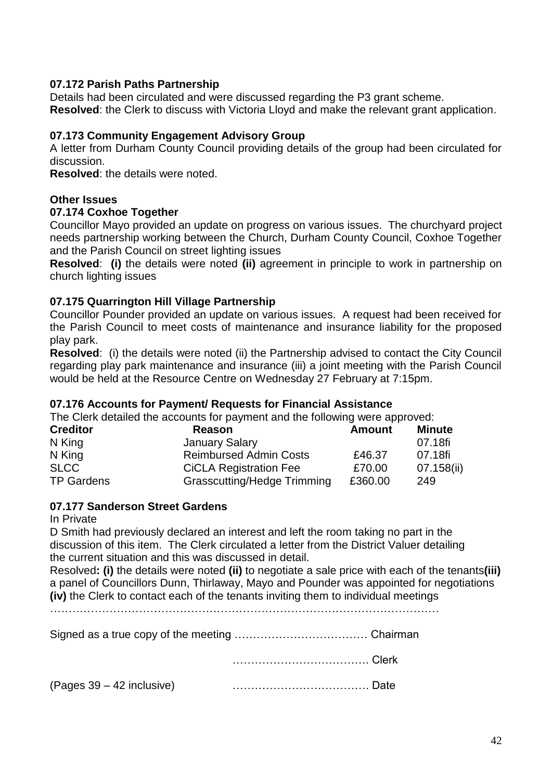### **07.172 Parish Paths Partnership**

Details had been circulated and were discussed regarding the P3 grant scheme. **Resolved**: the Clerk to discuss with Victoria Lloyd and make the relevant grant application.

### **07.173 Community Engagement Advisory Group**

A letter from Durham County Council providing details of the group had been circulated for discussion.

**Resolved**: the details were noted.

#### **Other Issues**

#### **07.174 Coxhoe Together**

Councillor Mayo provided an update on progress on various issues. The churchyard project needs partnership working between the Church, Durham County Council, Coxhoe Together and the Parish Council on street lighting issues

**Resolved**: **(i)** the details were noted **(ii)** agreement in principle to work in partnership on church lighting issues

#### **07.175 Quarrington Hill Village Partnership**

Councillor Pounder provided an update on various issues. A request had been received for the Parish Council to meet costs of maintenance and insurance liability for the proposed play park.

**Resolved**: (i) the details were noted (ii) the Partnership advised to contact the City Council regarding play park maintenance and insurance (iii) a joint meeting with the Parish Council would be held at the Resource Centre on Wednesday 27 February at 7:15pm.

#### **07.176 Accounts for Payment/ Requests for Financial Assistance**

The Clerk detailed the accounts for payment and the following were approved:

| <b>Creditor</b>   | <b>Reason</b>                      | <b>Amount</b> | <b>Minute</b> |
|-------------------|------------------------------------|---------------|---------------|
| N King            | <b>January Salary</b>              |               | 07.18fi       |
| N King            | <b>Reimbursed Admin Costs</b>      | £46.37        | 07.18fi       |
| <b>SLCC</b>       | <b>CICLA Registration Fee</b>      | £70.00        | 07.158(ii)    |
| <b>TP Gardens</b> | <b>Grasscutting/Hedge Trimming</b> | £360.00       | 249           |

### **07.177 Sanderson Street Gardens**

In Private

D Smith had previously declared an interest and left the room taking no part in the discussion of this item. The Clerk circulated a letter from the District Valuer detailing the current situation and this was discussed in detail.

Resolved**: (i)** the details were noted **(ii)** to negotiate a sale price with each of the tenants**(iii)** a panel of Councillors Dunn, Thirlaway, Mayo and Pounder was appointed for negotiations **(iv)** the Clerk to contact each of the tenants inviting them to individual meetings

……………………………………………………………………………………………

Signed as a true copy of the meeting ……………………………… Chairman

………………………………. Clerk

(Pages 39 – 42 inclusive) ………………………………. Date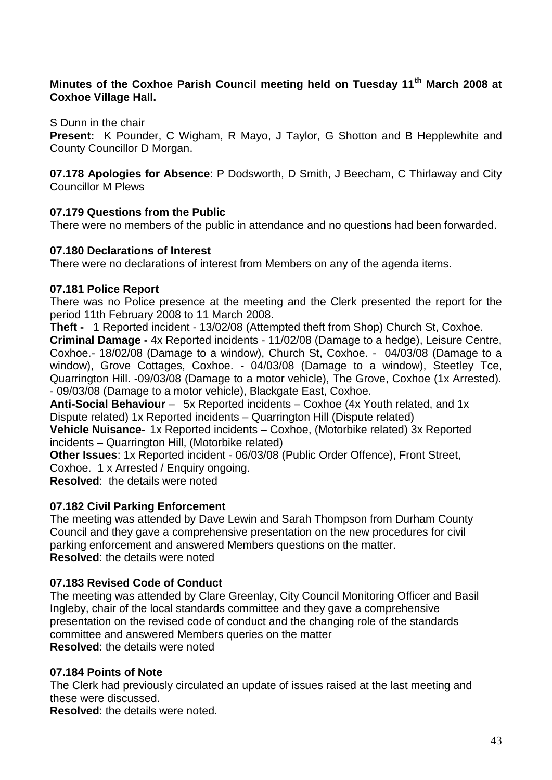# **Minutes of the Coxhoe Parish Council meeting held on Tuesday 11th March 2008 at Coxhoe Village Hall.**

S Dunn in the chair

**Present:** K Pounder, C Wigham, R Mayo, J Taylor, G Shotton and B Hepplewhite and County Councillor D Morgan.

**07.178 Apologies for Absence**: P Dodsworth, D Smith, J Beecham, C Thirlaway and City Councillor M Plews

# **07.179 Questions from the Public**

There were no members of the public in attendance and no questions had been forwarded.

#### **07.180 Declarations of Interest**

There were no declarations of interest from Members on any of the agenda items.

### **07.181 Police Report**

There was no Police presence at the meeting and the Clerk presented the report for the period 11th February 2008 to 11 March 2008.

**Theft -** 1 Reported incident - 13/02/08 (Attempted theft from Shop) Church St, Coxhoe.

**Criminal Damage -** 4x Reported incidents - 11/02/08 (Damage to a hedge), Leisure Centre, Coxhoe.- 18/02/08 (Damage to a window), Church St, Coxhoe. - 04/03/08 (Damage to a window), Grove Cottages, Coxhoe. - 04/03/08 (Damage to a window), Steetley Tce, Quarrington Hill. -09/03/08 (Damage to a motor vehicle), The Grove, Coxhoe (1x Arrested). - 09/03/08 (Damage to a motor vehicle), Blackgate East, Coxhoe.

**Anti-Social Behaviour** – 5x Reported incidents – Coxhoe (4x Youth related, and 1x Dispute related) 1x Reported incidents – Quarrington Hill (Dispute related)

**Vehicle Nuisance**- 1x Reported incidents – Coxhoe, (Motorbike related) 3x Reported incidents – Quarrington Hill, (Motorbike related)

**Other Issues**: 1x Reported incident - 06/03/08 (Public Order Offence), Front Street, Coxhoe. 1 x Arrested / Enquiry ongoing.

**Resolved**: the details were noted

# **07.182 Civil Parking Enforcement**

The meeting was attended by Dave Lewin and Sarah Thompson from Durham County Council and they gave a comprehensive presentation on the new procedures for civil parking enforcement and answered Members questions on the matter. **Resolved**: the details were noted

# **07.183 Revised Code of Conduct**

The meeting was attended by Clare Greenlay, City Council Monitoring Officer and Basil Ingleby, chair of the local standards committee and they gave a comprehensive presentation on the revised code of conduct and the changing role of the standards committee and answered Members queries on the matter **Resolved**: the details were noted

#### **07.184 Points of Note**

The Clerk had previously circulated an update of issues raised at the last meeting and these were discussed.

**Resolved**: the details were noted.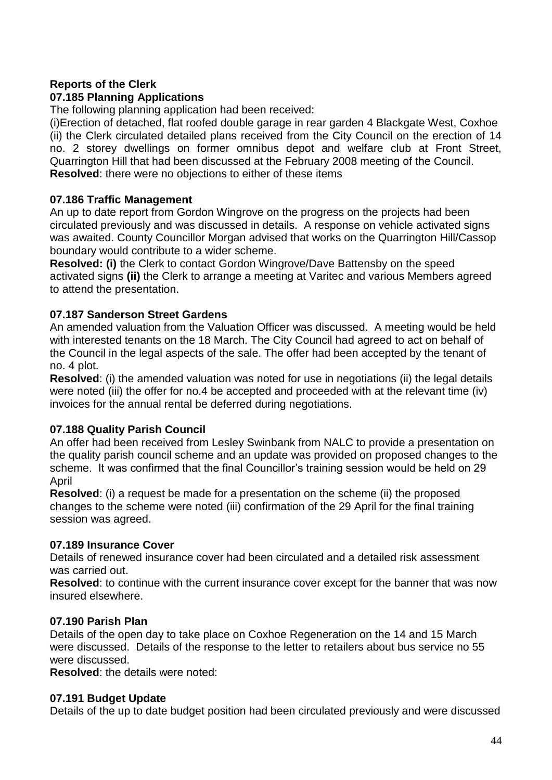# **Reports of the Clerk**

# **07.185 Planning Applications**

The following planning application had been received:

(i)Erection of detached, flat roofed double garage in rear garden 4 Blackgate West, Coxhoe (ii) the Clerk circulated detailed plans received from the City Council on the erection of 14 no. 2 storey dwellings on former omnibus depot and welfare club at Front Street, Quarrington Hill that had been discussed at the February 2008 meeting of the Council. **Resolved**: there were no objections to either of these items

# **07.186 Traffic Management**

An up to date report from Gordon Wingrove on the progress on the projects had been circulated previously and was discussed in details. A response on vehicle activated signs was awaited. County Councillor Morgan advised that works on the Quarrington Hill/Cassop boundary would contribute to a wider scheme.

**Resolved: (i)** the Clerk to contact Gordon Wingrove/Dave Battensby on the speed activated signs **(ii)** the Clerk to arrange a meeting at Varitec and various Members agreed to attend the presentation.

# **07.187 Sanderson Street Gardens**

An amended valuation from the Valuation Officer was discussed. A meeting would be held with interested tenants on the 18 March. The City Council had agreed to act on behalf of the Council in the legal aspects of the sale. The offer had been accepted by the tenant of no. 4 plot.

**Resolved**: (i) the amended valuation was noted for use in negotiations (ii) the legal details were noted (iii) the offer for no.4 be accepted and proceeded with at the relevant time (iv) invoices for the annual rental be deferred during negotiations.

# **07.188 Quality Parish Council**

An offer had been received from Lesley Swinbank from NALC to provide a presentation on the quality parish council scheme and an update was provided on proposed changes to the scheme. It was confirmed that the final Councillor's training session would be held on 29 April

**Resolved**: (i) a request be made for a presentation on the scheme (ii) the proposed changes to the scheme were noted (iii) confirmation of the 29 April for the final training session was agreed.

# **07.189 Insurance Cover**

Details of renewed insurance cover had been circulated and a detailed risk assessment was carried out.

**Resolved**: to continue with the current insurance cover except for the banner that was now insured elsewhere.

# **07.190 Parish Plan**

Details of the open day to take place on Coxhoe Regeneration on the 14 and 15 March were discussed. Details of the response to the letter to retailers about bus service no 55 were discussed.

**Resolved**: the details were noted:

# **07.191 Budget Update**

Details of the up to date budget position had been circulated previously and were discussed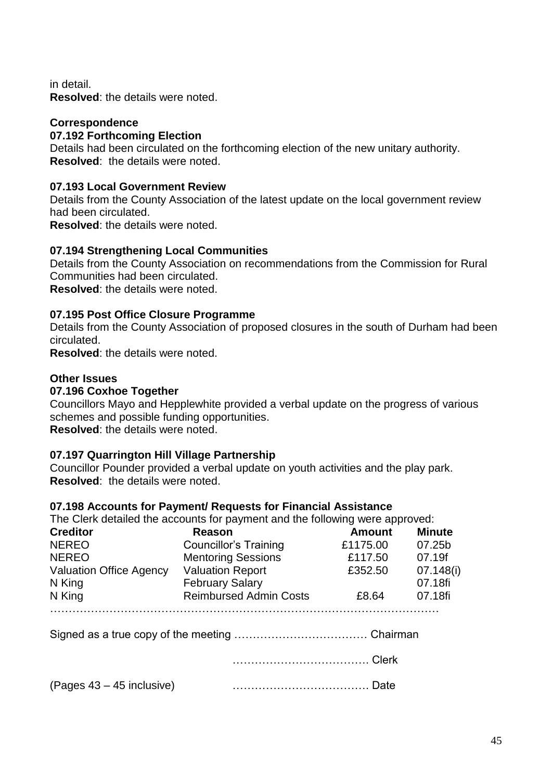in detail.

**Resolved**: the details were noted.

### **Correspondence**

#### **07.192 Forthcoming Election**

Details had been circulated on the forthcoming election of the new unitary authority. **Resolved**: the details were noted.

#### **07.193 Local Government Review**

Details from the County Association of the latest update on the local government review had been circulated.

**Resolved**: the details were noted.

### **07.194 Strengthening Local Communities**

Details from the County Association on recommendations from the Commission for Rural Communities had been circulated.

**Resolved**: the details were noted.

### **07.195 Post Office Closure Programme**

Details from the County Association of proposed closures in the south of Durham had been circulated.

**Resolved**: the details were noted.

### **Other Issues**

#### **07.196 Coxhoe Together**

Councillors Mayo and Hepplewhite provided a verbal update on the progress of various schemes and possible funding opportunities. **Resolved**: the details were noted.

#### **07.197 Quarrington Hill Village Partnership**

Councillor Pounder provided a verbal update on youth activities and the play park. **Resolved**: the details were noted.

#### **07.198 Accounts for Payment/ Requests for Financial Assistance**

The Clerk detailed the accounts for payment and the following were approved:

| <b>Creditor</b>                | Reason                        | <b>Amount</b> | <b>Minute</b> |
|--------------------------------|-------------------------------|---------------|---------------|
| <b>NEREO</b>                   | <b>Councillor's Training</b>  | £1175.00      | 07.25b        |
| <b>NEREO</b>                   | <b>Mentoring Sessions</b>     | £117.50       | 07.19f        |
| <b>Valuation Office Agency</b> | <b>Valuation Report</b>       | £352.50       | 07.148(i)     |
| N King                         | <b>February Salary</b>        |               | 07.18fi       |
| N King                         | <b>Reimbursed Admin Costs</b> | £8.64         | 07.18fi       |
|                                |                               |               |               |

Signed as a true copy of the meeting ……………………………… Chairman

………………………………. Clerk

(Pages 43 – 45 inclusive) ………………………………. Date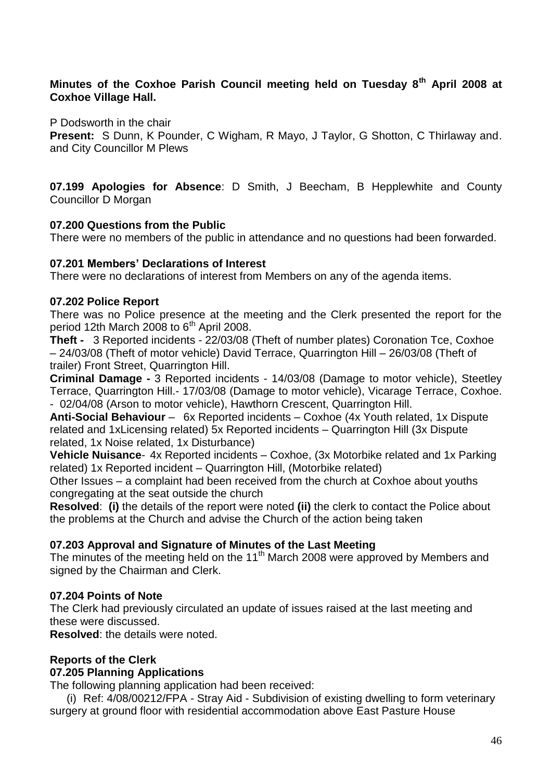### **Minutes of the Coxhoe Parish Council meeting held on Tuesday 8th April 2008 at Coxhoe Village Hall.**

P Dodsworth in the chair

**Present:** S Dunn, K Pounder, C Wigham, R Mayo, J Taylor, G Shotton, C Thirlaway and. and City Councillor M Plews

**07.199 Apologies for Absence**: D Smith, J Beecham, B Hepplewhite and County Councillor D Morgan

### **07.200 Questions from the Public**

There were no members of the public in attendance and no questions had been forwarded.

### **07.201 Members' Declarations of Interest**

There were no declarations of interest from Members on any of the agenda items.

#### **07.202 Police Report**

There was no Police presence at the meeting and the Clerk presented the report for the period 12th March 2008 to  $6<sup>th</sup>$  April 2008.

**Theft -** 3 Reported incidents - 22/03/08 (Theft of number plates) Coronation Tce, Coxhoe – 24/03/08 (Theft of motor vehicle) David Terrace, Quarrington Hill – 26/03/08 (Theft of trailer) Front Street, Quarrington Hill.

**Criminal Damage -** 3 Reported incidents - 14/03/08 (Damage to motor vehicle), Steetley Terrace, Quarrington Hill.- 17/03/08 (Damage to motor vehicle), Vicarage Terrace, Coxhoe. - 02/04/08 (Arson to motor vehicle), Hawthorn Crescent, Quarrington Hill.

**Anti-Social Behaviour** – 6x Reported incidents – Coxhoe (4x Youth related, 1x Dispute related and 1xLicensing related) 5x Reported incidents – Quarrington Hill (3x Dispute related, 1x Noise related, 1x Disturbance)

**Vehicle Nuisance**- 4x Reported incidents – Coxhoe, (3x Motorbike related and 1x Parking related) 1x Reported incident – Quarrington Hill, (Motorbike related)

Other Issues – a complaint had been received from the church at Coxhoe about youths congregating at the seat outside the church

**Resolved**: **(i)** the details of the report were noted **(ii)** the clerk to contact the Police about the problems at the Church and advise the Church of the action being taken

# **07.203 Approval and Signature of Minutes of the Last Meeting**

The minutes of the meeting held on the 11<sup>th</sup> March 2008 were approved by Members and signed by the Chairman and Clerk.

# **07.204 Points of Note**

The Clerk had previously circulated an update of issues raised at the last meeting and these were discussed.

**Resolved**: the details were noted.

#### **Reports of the Clerk**

#### **07.205 Planning Applications**

The following planning application had been received:

(i) Ref: 4/08/00212/FPA - Stray Aid - Subdivision of existing dwelling to form veterinary surgery at ground floor with residential accommodation above East Pasture House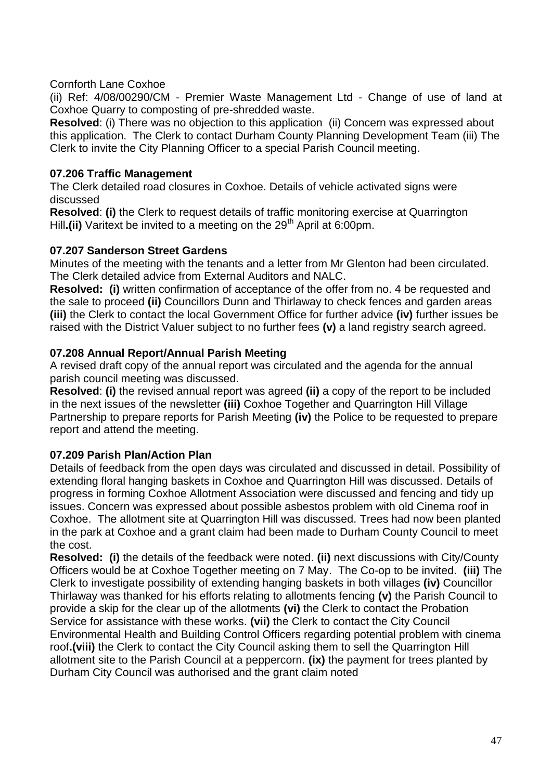Cornforth Lane Coxhoe

(ii) Ref: 4/08/00290/CM - Premier Waste Management Ltd - Change of use of land at Coxhoe Quarry to composting of pre-shredded waste.

**Resolved**: (i) There was no objection to this application (ii) Concern was expressed about this application. The Clerk to contact Durham County Planning Development Team (iii) The Clerk to invite the City Planning Officer to a special Parish Council meeting.

# **07.206 Traffic Management**

The Clerk detailed road closures in Coxhoe. Details of vehicle activated signs were discussed

**Resolved**: **(i)** the Clerk to request details of traffic monitoring exercise at Quarrington Hill.(ii) Varitext be invited to a meeting on the 29<sup>th</sup> April at 6:00pm.

# **07.207 Sanderson Street Gardens**

Minutes of the meeting with the tenants and a letter from Mr Glenton had been circulated. The Clerk detailed advice from External Auditors and NALC.

**Resolved: (i)** written confirmation of acceptance of the offer from no. 4 be requested and the sale to proceed **(ii)** Councillors Dunn and Thirlaway to check fences and garden areas **(iii)** the Clerk to contact the local Government Office for further advice **(iv)** further issues be raised with the District Valuer subject to no further fees **(v)** a land registry search agreed.

# **07.208 Annual Report/Annual Parish Meeting**

A revised draft copy of the annual report was circulated and the agenda for the annual parish council meeting was discussed.

**Resolved**: **(i)** the revised annual report was agreed **(ii)** a copy of the report to be included in the next issues of the newsletter **(iii)** Coxhoe Together and Quarrington Hill Village Partnership to prepare reports for Parish Meeting **(iv)** the Police to be requested to prepare report and attend the meeting.

# **07.209 Parish Plan/Action Plan**

Details of feedback from the open days was circulated and discussed in detail. Possibility of extending floral hanging baskets in Coxhoe and Quarrington Hill was discussed. Details of progress in forming Coxhoe Allotment Association were discussed and fencing and tidy up issues. Concern was expressed about possible asbestos problem with old Cinema roof in Coxhoe. The allotment site at Quarrington Hill was discussed. Trees had now been planted in the park at Coxhoe and a grant claim had been made to Durham County Council to meet the cost.

**Resolved: (i)** the details of the feedback were noted. **(ii)** next discussions with City/County Officers would be at Coxhoe Together meeting on 7 May. The Co-op to be invited. **(iii)** The Clerk to investigate possibility of extending hanging baskets in both villages **(iv)** Councillor Thirlaway was thanked for his efforts relating to allotments fencing **(v)** the Parish Council to provide a skip for the clear up of the allotments **(vi)** the Clerk to contact the Probation Service for assistance with these works. **(vii)** the Clerk to contact the City Council Environmental Health and Building Control Officers regarding potential problem with cinema roof**.(viii)** the Clerk to contact the City Council asking them to sell the Quarrington Hill allotment site to the Parish Council at a peppercorn. **(ix)** the payment for trees planted by Durham City Council was authorised and the grant claim noted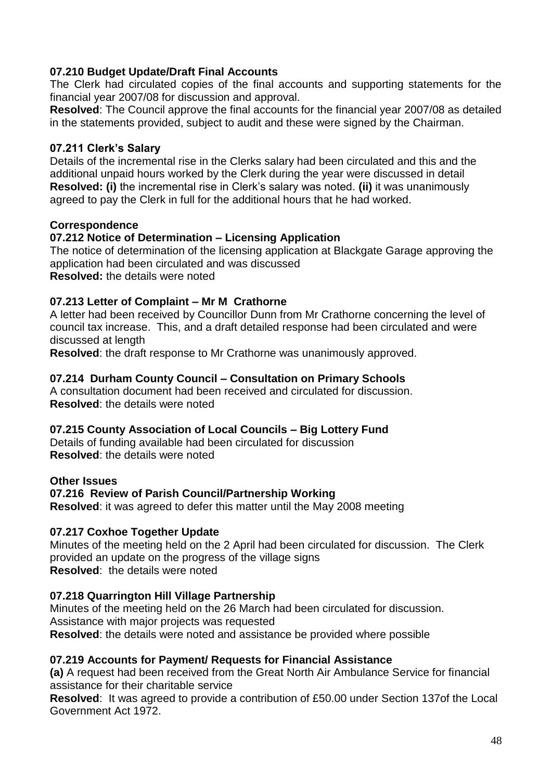# **07.210 Budget Update/Draft Final Accounts**

The Clerk had circulated copies of the final accounts and supporting statements for the financial year 2007/08 for discussion and approval.

**Resolved**: The Council approve the final accounts for the financial year 2007/08 as detailed in the statements provided, subject to audit and these were signed by the Chairman.

# **07.211 Clerk's Salary**

Details of the incremental rise in the Clerks salary had been circulated and this and the additional unpaid hours worked by the Clerk during the year were discussed in detail **Resolved: (i)** the incremental rise in Clerk's salary was noted. **(ii)** it was unanimously agreed to pay the Clerk in full for the additional hours that he had worked.

# **Correspondence**

# **07.212 Notice of Determination – Licensing Application**

The notice of determination of the licensing application at Blackgate Garage approving the application had been circulated and was discussed **Resolved:** the details were noted

# **07.213 Letter of Complaint – Mr M Crathorne**

A letter had been received by Councillor Dunn from Mr Crathorne concerning the level of council tax increase. This, and a draft detailed response had been circulated and were discussed at length

**Resolved**: the draft response to Mr Crathorne was unanimously approved.

# **07.214 Durham County Council – Consultation on Primary Schools**

A consultation document had been received and circulated for discussion. **Resolved**: the details were noted

# **07.215 County Association of Local Councils – Big Lottery Fund**

Details of funding available had been circulated for discussion **Resolved**: the details were noted

# **Other Issues**

# **07.216 Review of Parish Council/Partnership Working**

**Resolved**: it was agreed to defer this matter until the May 2008 meeting

# **07.217 Coxhoe Together Update**

Minutes of the meeting held on the 2 April had been circulated for discussion. The Clerk provided an update on the progress of the village signs **Resolved**: the details were noted

# **07.218 Quarrington Hill Village Partnership**

Minutes of the meeting held on the 26 March had been circulated for discussion. Assistance with major projects was requested **Resolved**: the details were noted and assistance be provided where possible

# **07.219 Accounts for Payment/ Requests for Financial Assistance**

**(a)** A request had been received from the Great North Air Ambulance Service for financial assistance for their charitable service

**Resolved**: It was agreed to provide a contribution of £50.00 under Section 137of the Local Government Act 1972.